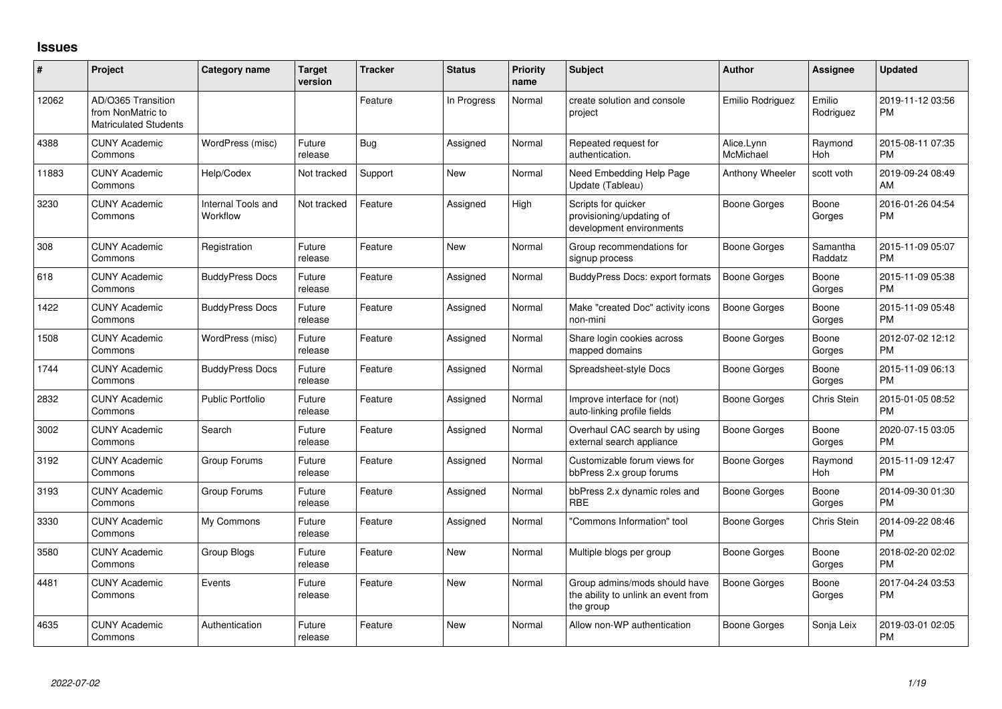## **Issues**

| #     | Project                                                                 | <b>Category name</b>           | <b>Target</b><br>version | Tracker | <b>Status</b> | Priority<br>name | Subject                                                                           | <b>Author</b>           | <b>Assignee</b>       | <b>Updated</b>                |
|-------|-------------------------------------------------------------------------|--------------------------------|--------------------------|---------|---------------|------------------|-----------------------------------------------------------------------------------|-------------------------|-----------------------|-------------------------------|
| 12062 | AD/O365 Transition<br>from NonMatric to<br><b>Matriculated Students</b> |                                |                          | Feature | In Progress   | Normal           | create solution and console<br>project                                            | Emilio Rodriguez        | Emilio<br>Rodriguez   | 2019-11-12 03:56<br><b>PM</b> |
| 4388  | <b>CUNY Academic</b><br>Commons                                         | WordPress (misc)               | Future<br>release        | Bug     | Assigned      | Normal           | Repeated request for<br>authentication.                                           | Alice.Lynn<br>McMichael | Raymond<br><b>Hoh</b> | 2015-08-11 07:35<br><b>PM</b> |
| 11883 | <b>CUNY Academic</b><br>Commons                                         | Help/Codex                     | Not tracked              | Support | <b>New</b>    | Normal           | Need Embedding Help Page<br>Update (Tableau)                                      | Anthony Wheeler         | scott voth            | 2019-09-24 08:49<br>AM        |
| 3230  | <b>CUNY Academic</b><br>Commons                                         | Internal Tools and<br>Workflow | Not tracked              | Feature | Assigned      | High             | Scripts for quicker<br>provisioning/updating of<br>development environments       | <b>Boone Gorges</b>     | Boone<br>Gorges       | 2016-01-26 04:54<br><b>PM</b> |
| 308   | <b>CUNY Academic</b><br>Commons                                         | Registration                   | Future<br>release        | Feature | <b>New</b>    | Normal           | Group recommendations for<br>signup process                                       | Boone Gorges            | Samantha<br>Raddatz   | 2015-11-09 05:07<br><b>PM</b> |
| 618   | <b>CUNY Academic</b><br>Commons                                         | <b>BuddyPress Docs</b>         | Future<br>release        | Feature | Assigned      | Normal           | <b>BuddyPress Docs: export formats</b>                                            | Boone Gorges            | Boone<br>Gorges       | 2015-11-09 05:38<br><b>PM</b> |
| 1422  | <b>CUNY Academic</b><br>Commons                                         | <b>BuddyPress Docs</b>         | Future<br>release        | Feature | Assigned      | Normal           | Make "created Doc" activity icons<br>non-mini                                     | <b>Boone Gorges</b>     | Boone<br>Gorges       | 2015-11-09 05:48<br><b>PM</b> |
| 1508  | <b>CUNY Academic</b><br>Commons                                         | WordPress (misc)               | Future<br>release        | Feature | Assigned      | Normal           | Share login cookies across<br>mapped domains                                      | <b>Boone Gorges</b>     | Boone<br>Gorges       | 2012-07-02 12:12<br><b>PM</b> |
| 1744  | <b>CUNY Academic</b><br>Commons                                         | <b>BuddyPress Docs</b>         | Future<br>release        | Feature | Assigned      | Normal           | Spreadsheet-style Docs                                                            | <b>Boone Gorges</b>     | Boone<br>Gorges       | 2015-11-09 06:13<br><b>PM</b> |
| 2832  | <b>CUNY Academic</b><br>Commons                                         | Public Portfolio               | Future<br>release        | Feature | Assigned      | Normal           | Improve interface for (not)<br>auto-linking profile fields                        | <b>Boone Gorges</b>     | Chris Stein           | 2015-01-05 08:52<br><b>PM</b> |
| 3002  | <b>CUNY Academic</b><br>Commons                                         | Search                         | Future<br>release        | Feature | Assigned      | Normal           | Overhaul CAC search by using<br>external search appliance                         | Boone Gorges            | Boone<br>Gorges       | 2020-07-15 03:05<br><b>PM</b> |
| 3192  | <b>CUNY Academic</b><br>Commons                                         | Group Forums                   | Future<br>release        | Feature | Assigned      | Normal           | Customizable forum views for<br>bbPress 2.x group forums                          | <b>Boone Gorges</b>     | Raymond<br>Hoh        | 2015-11-09 12:47<br><b>PM</b> |
| 3193  | <b>CUNY Academic</b><br>Commons                                         | Group Forums                   | Future<br>release        | Feature | Assigned      | Normal           | bbPress 2.x dynamic roles and<br><b>RBE</b>                                       | Boone Gorges            | Boone<br>Gorges       | 2014-09-30 01:30<br><b>PM</b> |
| 3330  | <b>CUNY Academic</b><br>Commons                                         | My Commons                     | Future<br>release        | Feature | Assigned      | Normal           | "Commons Information" tool                                                        | <b>Boone Gorges</b>     | Chris Stein           | 2014-09-22 08:46<br><b>PM</b> |
| 3580  | <b>CUNY Academic</b><br>Commons                                         | Group Blogs                    | Future<br>release        | Feature | <b>New</b>    | Normal           | Multiple blogs per group                                                          | Boone Gorges            | Boone<br>Gorges       | 2018-02-20 02:02<br><b>PM</b> |
| 4481  | <b>CUNY Academic</b><br>Commons                                         | Events                         | Future<br>release        | Feature | <b>New</b>    | Normal           | Group admins/mods should have<br>the ability to unlink an event from<br>the group | Boone Gorges            | Boone<br>Gorges       | 2017-04-24 03:53<br><b>PM</b> |
| 4635  | <b>CUNY Academic</b><br>Commons                                         | Authentication                 | Future<br>release        | Feature | New           | Normal           | Allow non-WP authentication                                                       | Boone Gorges            | Sonja Leix            | 2019-03-01 02:05<br><b>PM</b> |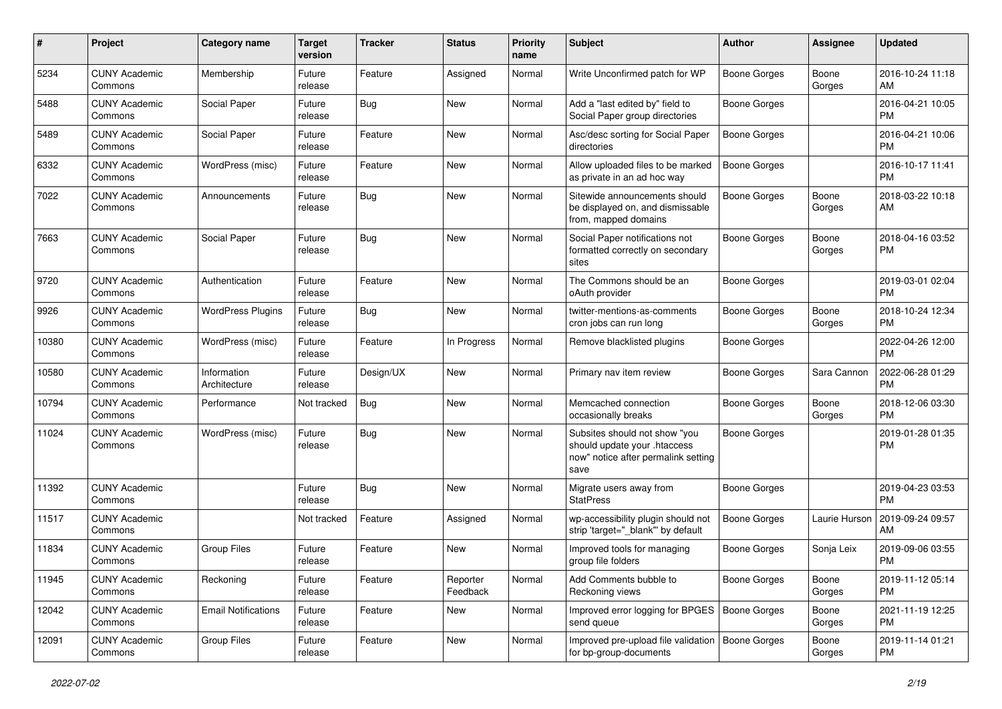| #     | Project                         | Category name               | <b>Target</b><br>version | Tracker    | <b>Status</b>        | <b>Priority</b><br>name | Subject                                                                                                      | Author              | <b>Assignee</b> | <b>Updated</b>                |
|-------|---------------------------------|-----------------------------|--------------------------|------------|----------------------|-------------------------|--------------------------------------------------------------------------------------------------------------|---------------------|-----------------|-------------------------------|
| 5234  | <b>CUNY Academic</b><br>Commons | Membership                  | Future<br>release        | Feature    | Assigned             | Normal                  | Write Unconfirmed patch for WP                                                                               | <b>Boone Gorges</b> | Boone<br>Gorges | 2016-10-24 11:18<br>AM        |
| 5488  | <b>CUNY Academic</b><br>Commons | Social Paper                | Future<br>release        | Bug        | New                  | Normal                  | Add a "last edited by" field to<br>Social Paper group directories                                            | <b>Boone Gorges</b> |                 | 2016-04-21 10:05<br><b>PM</b> |
| 5489  | <b>CUNY Academic</b><br>Commons | Social Paper                | Future<br>release        | Feature    | New                  | Normal                  | Asc/desc sorting for Social Paper<br>directories                                                             | <b>Boone Gorges</b> |                 | 2016-04-21 10:06<br><b>PM</b> |
| 6332  | <b>CUNY Academic</b><br>Commons | WordPress (misc)            | Future<br>release        | Feature    | New                  | Normal                  | Allow uploaded files to be marked<br>as private in an ad hoc way                                             | <b>Boone Gorges</b> |                 | 2016-10-17 11:41<br><b>PM</b> |
| 7022  | <b>CUNY Academic</b><br>Commons | Announcements               | Future<br>release        | Bug        | New                  | Normal                  | Sitewide announcements should<br>be displayed on, and dismissable<br>from, mapped domains                    | <b>Boone Gorges</b> | Boone<br>Gorges | 2018-03-22 10:18<br>AM        |
| 7663  | <b>CUNY Academic</b><br>Commons | Social Paper                | Future<br>release        | Bug        | New                  | Normal                  | Social Paper notifications not<br>formatted correctly on secondary<br>sites                                  | <b>Boone Gorges</b> | Boone<br>Gorges | 2018-04-16 03:52<br><b>PM</b> |
| 9720  | <b>CUNY Academic</b><br>Commons | Authentication              | Future<br>release        | Feature    | New                  | Normal                  | The Commons should be an<br>oAuth provider                                                                   | <b>Boone Gorges</b> |                 | 2019-03-01 02:04<br><b>PM</b> |
| 9926  | <b>CUNY Academic</b><br>Commons | <b>WordPress Plugins</b>    | Future<br>release        | Bug        | New                  | Normal                  | twitter-mentions-as-comments<br>cron jobs can run long                                                       | <b>Boone Gorges</b> | Boone<br>Gorges | 2018-10-24 12:34<br><b>PM</b> |
| 10380 | <b>CUNY Academic</b><br>Commons | WordPress (misc)            | Future<br>release        | Feature    | In Progress          | Normal                  | Remove blacklisted plugins                                                                                   | <b>Boone Gorges</b> |                 | 2022-04-26 12:00<br><b>PM</b> |
| 10580 | <b>CUNY Academic</b><br>Commons | Information<br>Architecture | Future<br>release        | Design/UX  | <b>New</b>           | Normal                  | Primary nav item review                                                                                      | <b>Boone Gorges</b> | Sara Cannon     | 2022-06-28 01:29<br><b>PM</b> |
| 10794 | <b>CUNY Academic</b><br>Commons | Performance                 | Not tracked              | Bug        | New                  | Normal                  | Memcached connection<br>occasionally breaks                                                                  | Boone Gorges        | Boone<br>Gorges | 2018-12-06 03:30<br><b>PM</b> |
| 11024 | <b>CUNY Academic</b><br>Commons | WordPress (misc)            | Future<br>release        | Bug        | New                  | Normal                  | Subsites should not show "you<br>should update your .htaccess<br>now" notice after permalink setting<br>save | <b>Boone Gorges</b> |                 | 2019-01-28 01:35<br><b>PM</b> |
| 11392 | <b>CUNY Academic</b><br>Commons |                             | Future<br>release        | <b>Bug</b> | New                  | Normal                  | Migrate users away from<br><b>StatPress</b>                                                                  | <b>Boone Gorges</b> |                 | 2019-04-23 03:53<br><b>PM</b> |
| 11517 | <b>CUNY Academic</b><br>Commons |                             | Not tracked              | Feature    | Assigned             | Normal                  | wp-accessibility plugin should not<br>strip 'target="_blank" by default                                      | <b>Boone Gorges</b> | Laurie Hurson   | 2019-09-24 09:57<br>AM        |
| 11834 | <b>CUNY Academic</b><br>Commons | <b>Group Files</b>          | Future<br>release        | Feature    | New                  | Normal                  | Improved tools for managing<br>group file folders                                                            | <b>Boone Gorges</b> | Sonja Leix      | 2019-09-06 03:55<br><b>PM</b> |
| 11945 | <b>CUNY Academic</b><br>Commons | Reckoning                   | Future<br>release        | Feature    | Reporter<br>Feedback | Normal                  | Add Comments bubble to<br>Reckoning views                                                                    | <b>Boone Gorges</b> | Boone<br>Gorges | 2019-11-12 05:14<br>PM.       |
| 12042 | <b>CUNY Academic</b><br>Commons | <b>Email Notifications</b>  | Future<br>release        | Feature    | New                  | Normal                  | Improved error logging for BPGES   Boone Gorges<br>send queue                                                |                     | Boone<br>Gorges | 2021-11-19 12:25<br><b>PM</b> |
| 12091 | <b>CUNY Academic</b><br>Commons | Group Files                 | Future<br>release        | Feature    | New                  | Normal                  | Improved pre-upload file validation   Boone Gorges<br>for bp-group-documents                                 |                     | Boone<br>Gorges | 2019-11-14 01:21<br><b>PM</b> |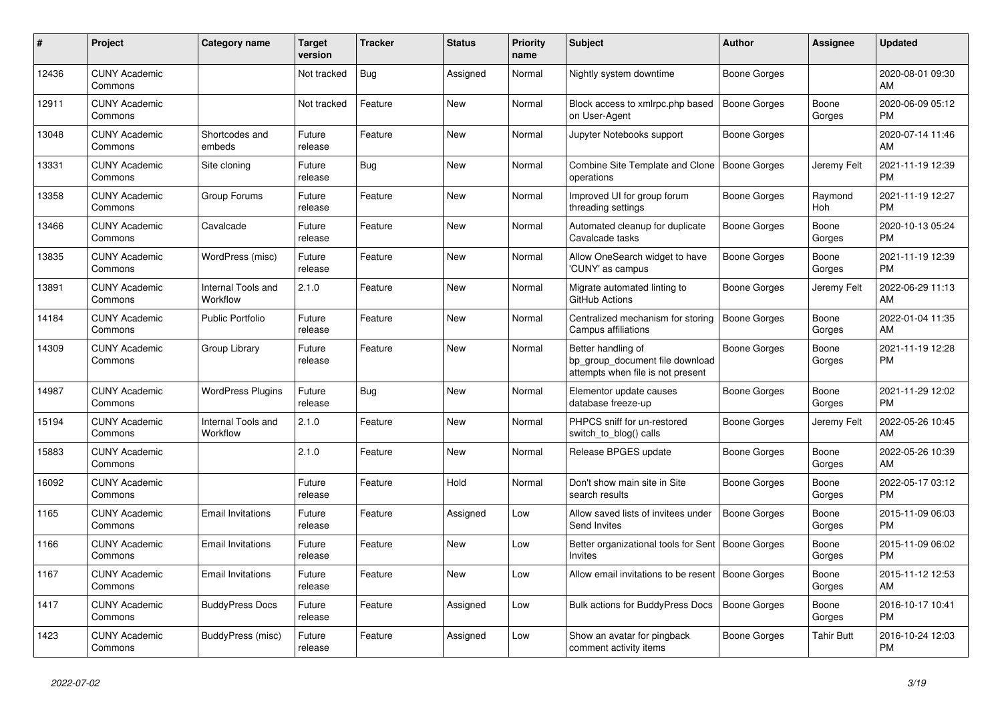| #     | Project                         | <b>Category name</b>           | Target<br>version | <b>Tracker</b> | <b>Status</b> | <b>Priority</b><br>name | <b>Subject</b>                                                                             | <b>Author</b>       | Assignee        | <b>Updated</b>                |
|-------|---------------------------------|--------------------------------|-------------------|----------------|---------------|-------------------------|--------------------------------------------------------------------------------------------|---------------------|-----------------|-------------------------------|
| 12436 | <b>CUNY Academic</b><br>Commons |                                | Not tracked       | <b>Bug</b>     | Assigned      | Normal                  | Nightly system downtime                                                                    | Boone Gorges        |                 | 2020-08-01 09:30<br>AM.       |
| 12911 | <b>CUNY Academic</b><br>Commons |                                | Not tracked       | Feature        | New           | Normal                  | Block access to xmlrpc.php based<br>on User-Agent                                          | Boone Gorges        | Boone<br>Gorges | 2020-06-09 05:12<br><b>PM</b> |
| 13048 | <b>CUNY Academic</b><br>Commons | Shortcodes and<br>embeds       | Future<br>release | Feature        | <b>New</b>    | Normal                  | Jupyter Notebooks support                                                                  | Boone Gorges        |                 | 2020-07-14 11:46<br>AM        |
| 13331 | <b>CUNY Academic</b><br>Commons | Site cloning                   | Future<br>release | Bug            | <b>New</b>    | Normal                  | Combine Site Template and Clone<br>operations                                              | Boone Gorges        | Jeremy Felt     | 2021-11-19 12:39<br><b>PM</b> |
| 13358 | <b>CUNY Academic</b><br>Commons | Group Forums                   | Future<br>release | Feature        | New           | Normal                  | Improved UI for group forum<br>threading settings                                          | Boone Gorges        | Raymond<br>Hoh  | 2021-11-19 12:27<br><b>PM</b> |
| 13466 | <b>CUNY Academic</b><br>Commons | Cavalcade                      | Future<br>release | Feature        | New           | Normal                  | Automated cleanup for duplicate<br>Cavalcade tasks                                         | Boone Gorges        | Boone<br>Gorges | 2020-10-13 05:24<br><b>PM</b> |
| 13835 | <b>CUNY Academic</b><br>Commons | WordPress (misc)               | Future<br>release | Feature        | <b>New</b>    | Normal                  | Allow OneSearch widget to have<br>'CUNY' as campus                                         | Boone Gorges        | Boone<br>Gorges | 2021-11-19 12:39<br><b>PM</b> |
| 13891 | <b>CUNY Academic</b><br>Commons | Internal Tools and<br>Workflow | 2.1.0             | Feature        | <b>New</b>    | Normal                  | Migrate automated linting to<br>GitHub Actions                                             | Boone Gorges        | Jeremy Felt     | 2022-06-29 11:13<br>AM.       |
| 14184 | <b>CUNY Academic</b><br>Commons | <b>Public Portfolio</b>        | Future<br>release | Feature        | New           | Normal                  | Centralized mechanism for storing<br>Campus affiliations                                   | Boone Gorges        | Boone<br>Gorges | 2022-01-04 11:35<br>AM        |
| 14309 | <b>CUNY Academic</b><br>Commons | Group Library                  | Future<br>release | Feature        | <b>New</b>    | Normal                  | Better handling of<br>bp_group_document file download<br>attempts when file is not present | Boone Gorges        | Boone<br>Gorges | 2021-11-19 12:28<br><b>PM</b> |
| 14987 | <b>CUNY Academic</b><br>Commons | <b>WordPress Plugins</b>       | Future<br>release | Bug            | New           | Normal                  | Elementor update causes<br>database freeze-up                                              | Boone Gorges        | Boone<br>Gorges | 2021-11-29 12:02<br><b>PM</b> |
| 15194 | <b>CUNY Academic</b><br>Commons | Internal Tools and<br>Workflow | 2.1.0             | Feature        | <b>New</b>    | Normal                  | PHPCS sniff for un-restored<br>switch to blog() calls                                      | Boone Gorges        | Jeremy Felt     | 2022-05-26 10:45<br>AM        |
| 15883 | <b>CUNY Academic</b><br>Commons |                                | 2.1.0             | Feature        | <b>New</b>    | Normal                  | Release BPGES update                                                                       | Boone Gorges        | Boone<br>Gorges | 2022-05-26 10:39<br>AM        |
| 16092 | <b>CUNY Academic</b><br>Commons |                                | Future<br>release | Feature        | Hold          | Normal                  | Don't show main site in Site<br>search results                                             | Boone Gorges        | Boone<br>Gorges | 2022-05-17 03:12<br><b>PM</b> |
| 1165  | <b>CUNY Academic</b><br>Commons | <b>Email Invitations</b>       | Future<br>release | Feature        | Assigned      | Low                     | Allow saved lists of invitees under<br>Send Invites                                        | <b>Boone Gorges</b> | Boone<br>Gorges | 2015-11-09 06:03<br>PM.       |
| 1166  | <b>CUNY Academic</b><br>Commons | <b>Email Invitations</b>       | Future<br>release | Feature        | New           | Low                     | Better organizational tools for Sent   Boone Gorges<br><b>Invites</b>                      |                     | Boone<br>Gorges | 2015-11-09 06:02<br><b>PM</b> |
| 1167  | <b>CUNY Academic</b><br>Commons | <b>Email Invitations</b>       | Future<br>release | Feature        | <b>New</b>    | Low                     | Allow email invitations to be resent                                                       | Boone Gorges        | Boone<br>Gorges | 2015-11-12 12:53<br><b>AM</b> |
| 1417  | <b>CUNY Academic</b><br>Commons | <b>BuddyPress Docs</b>         | Future<br>release | Feature        | Assigned      | Low                     | Bulk actions for BuddyPress Docs                                                           | <b>Boone Gorges</b> | Boone<br>Gorges | 2016-10-17 10:41<br><b>PM</b> |
| 1423  | <b>CUNY Academic</b><br>Commons | BuddyPress (misc)              | Future<br>release | Feature        | Assigned      | Low                     | Show an avatar for pingback<br>comment activity items                                      | Boone Gorges        | Tahir Butt      | 2016-10-24 12:03<br><b>PM</b> |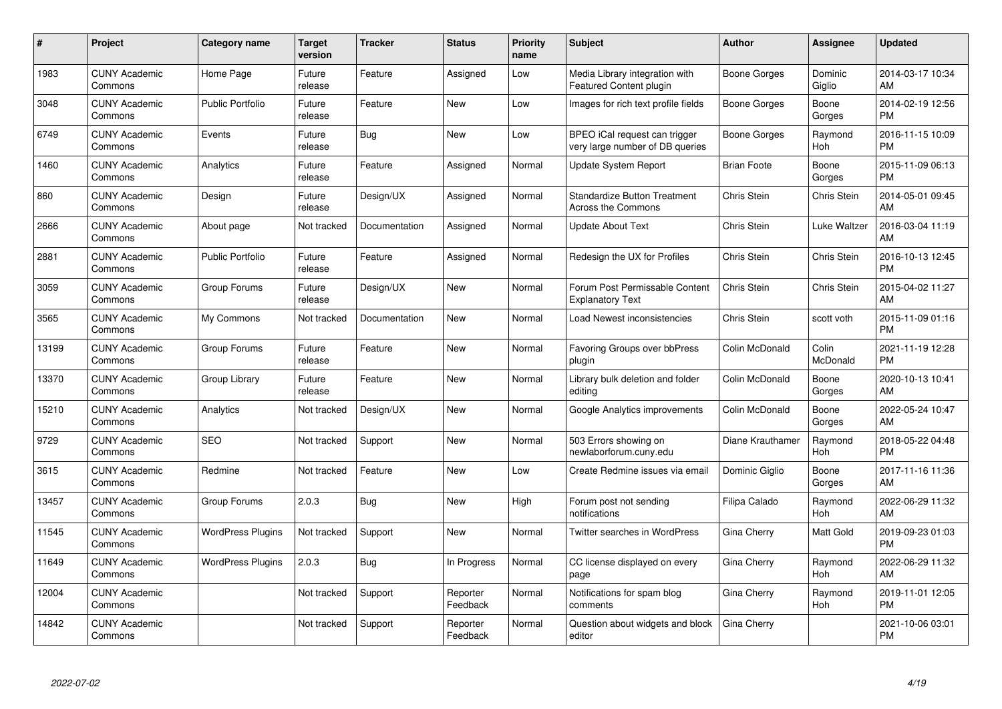| #     | <b>Project</b>                  | Category name            | Target<br>version | <b>Tracker</b> | <b>Status</b>        | <b>Priority</b><br>name | <b>Subject</b>                                                   | <b>Author</b>      | Assignee          | <b>Updated</b>                |
|-------|---------------------------------|--------------------------|-------------------|----------------|----------------------|-------------------------|------------------------------------------------------------------|--------------------|-------------------|-------------------------------|
| 1983  | <b>CUNY Academic</b><br>Commons | Home Page                | Future<br>release | Feature        | Assigned             | Low                     | Media Library integration with<br>Featured Content plugin        | Boone Gorges       | Dominic<br>Giglio | 2014-03-17 10:34<br>AM        |
| 3048  | <b>CUNY Academic</b><br>Commons | <b>Public Portfolio</b>  | Future<br>release | Feature        | New                  | Low                     | Images for rich text profile fields                              | Boone Gorges       | Boone<br>Gorges   | 2014-02-19 12:56<br><b>PM</b> |
| 6749  | <b>CUNY Academic</b><br>Commons | Events                   | Future<br>release | <b>Bug</b>     | New                  | Low                     | BPEO iCal request can trigger<br>very large number of DB queries | Boone Gorges       | Raymond<br>Hoh    | 2016-11-15 10:09<br><b>PM</b> |
| 1460  | <b>CUNY Academic</b><br>Commons | Analytics                | Future<br>release | Feature        | Assigned             | Normal                  | Update System Report                                             | <b>Brian Foote</b> | Boone<br>Gorges   | 2015-11-09 06:13<br><b>PM</b> |
| 860   | <b>CUNY Academic</b><br>Commons | Design                   | Future<br>release | Design/UX      | Assigned             | Normal                  | <b>Standardize Button Treatment</b><br><b>Across the Commons</b> | Chris Stein        | Chris Stein       | 2014-05-01 09:45<br><b>AM</b> |
| 2666  | <b>CUNY Academic</b><br>Commons | About page               | Not tracked       | Documentation  | Assigned             | Normal                  | <b>Update About Text</b>                                         | Chris Stein        | Luke Waltzer      | 2016-03-04 11:19<br><b>AM</b> |
| 2881  | <b>CUNY Academic</b><br>Commons | <b>Public Portfolio</b>  | Future<br>release | Feature        | Assigned             | Normal                  | Redesign the UX for Profiles                                     | Chris Stein        | Chris Stein       | 2016-10-13 12:45<br><b>PM</b> |
| 3059  | <b>CUNY Academic</b><br>Commons | Group Forums             | Future<br>release | Design/UX      | <b>New</b>           | Normal                  | Forum Post Permissable Content<br><b>Explanatory Text</b>        | Chris Stein        | Chris Stein       | 2015-04-02 11:27<br>AM        |
| 3565  | <b>CUNY Academic</b><br>Commons | My Commons               | Not tracked       | Documentation  | <b>New</b>           | Normal                  | Load Newest inconsistencies                                      | Chris Stein        | scott voth        | 2015-11-09 01:16<br><b>PM</b> |
| 13199 | <b>CUNY Academic</b><br>Commons | Group Forums             | Future<br>release | Feature        | <b>New</b>           | Normal                  | Favoring Groups over bbPress<br>plugin                           | Colin McDonald     | Colin<br>McDonald | 2021-11-19 12:28<br><b>PM</b> |
| 13370 | <b>CUNY Academic</b><br>Commons | Group Library            | Future<br>release | Feature        | <b>New</b>           | Normal                  | Library bulk deletion and folder<br>editing                      | Colin McDonald     | Boone<br>Gorges   | 2020-10-13 10:41<br>AM        |
| 15210 | <b>CUNY Academic</b><br>Commons | Analytics                | Not tracked       | Design/UX      | <b>New</b>           | Normal                  | Google Analytics improvements                                    | Colin McDonald     | Boone<br>Gorges   | 2022-05-24 10:47<br>AM        |
| 9729  | <b>CUNY Academic</b><br>Commons | <b>SEO</b>               | Not tracked       | Support        | <b>New</b>           | Normal                  | 503 Errors showing on<br>newlaborforum.cuny.edu                  | Diane Krauthamer   | Raymond<br>Hoh    | 2018-05-22 04:48<br><b>PM</b> |
| 3615  | <b>CUNY Academic</b><br>Commons | Redmine                  | Not tracked       | Feature        | <b>New</b>           | Low                     | Create Redmine issues via email                                  | Dominic Giglio     | Boone<br>Gorges   | 2017-11-16 11:36<br>AM        |
| 13457 | <b>CUNY Academic</b><br>Commons | Group Forums             | 2.0.3             | <b>Bug</b>     | New                  | High                    | Forum post not sending<br>notifications                          | Filipa Calado      | Raymond<br>Hoh    | 2022-06-29 11:32<br>AM        |
| 11545 | <b>CUNY Academic</b><br>Commons | <b>WordPress Plugins</b> | Not tracked       | Support        | <b>New</b>           | Normal                  | <b>Twitter searches in WordPress</b>                             | Gina Cherry        | Matt Gold         | 2019-09-23 01:03<br><b>PM</b> |
| 11649 | <b>CUNY Academic</b><br>Commons | <b>WordPress Plugins</b> | 2.0.3             | Bug            | In Progress          | Normal                  | CC license displayed on every<br>page                            | Gina Cherry        | Raymond<br>Hoh    | 2022-06-29 11:32<br>AM        |
| 12004 | <b>CUNY Academic</b><br>Commons |                          | Not tracked       | Support        | Reporter<br>Feedback | Normal                  | Notifications for spam blog<br>comments                          | Gina Cherry        | Raymond<br>Hoh    | 2019-11-01 12:05<br><b>PM</b> |
| 14842 | <b>CUNY Academic</b><br>Commons |                          | Not tracked       | Support        | Reporter<br>Feedback | Normal                  | Question about widgets and block<br>editor                       | Gina Cherry        |                   | 2021-10-06 03:01<br>PM        |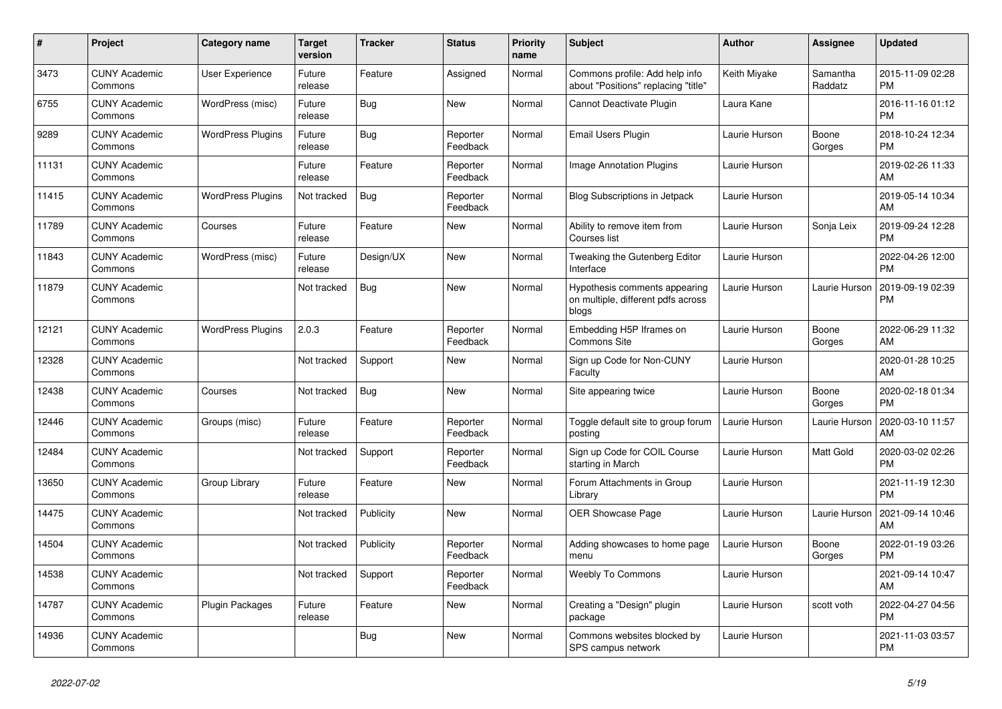| #     | Project                         | <b>Category name</b>     | <b>Target</b><br>version | <b>Tracker</b> | <b>Status</b>        | <b>Priority</b><br>name | <b>Subject</b>                                                               | <b>Author</b> | Assignee            | <b>Updated</b>                |
|-------|---------------------------------|--------------------------|--------------------------|----------------|----------------------|-------------------------|------------------------------------------------------------------------------|---------------|---------------------|-------------------------------|
| 3473  | <b>CUNY Academic</b><br>Commons | <b>User Experience</b>   | Future<br>release        | Feature        | Assigned             | Normal                  | Commons profile: Add help info<br>about "Positions" replacing "title"        | Keith Miyake  | Samantha<br>Raddatz | 2015-11-09 02:28<br><b>PM</b> |
| 6755  | <b>CUNY Academic</b><br>Commons | WordPress (misc)         | Future<br>release        | Bug            | New                  | Normal                  | Cannot Deactivate Plugin                                                     | Laura Kane    |                     | 2016-11-16 01:12<br><b>PM</b> |
| 9289  | <b>CUNY Academic</b><br>Commons | <b>WordPress Plugins</b> | Future<br>release        | Bug            | Reporter<br>Feedback | Normal                  | Email Users Plugin                                                           | Laurie Hurson | Boone<br>Gorges     | 2018-10-24 12:34<br><b>PM</b> |
| 11131 | <b>CUNY Academic</b><br>Commons |                          | Future<br>release        | Feature        | Reporter<br>Feedback | Normal                  | Image Annotation Plugins                                                     | Laurie Hurson |                     | 2019-02-26 11:33<br>AM        |
| 11415 | <b>CUNY Academic</b><br>Commons | <b>WordPress Plugins</b> | Not tracked              | Bug            | Reporter<br>Feedback | Normal                  | <b>Blog Subscriptions in Jetpack</b>                                         | Laurie Hurson |                     | 2019-05-14 10:34<br>AM        |
| 11789 | <b>CUNY Academic</b><br>Commons | Courses                  | Future<br>release        | Feature        | New                  | Normal                  | Ability to remove item from<br>Courses list                                  | Laurie Hurson | Sonja Leix          | 2019-09-24 12:28<br><b>PM</b> |
| 11843 | <b>CUNY Academic</b><br>Commons | WordPress (misc)         | Future<br>release        | Design/UX      | <b>New</b>           | Normal                  | Tweaking the Gutenberg Editor<br>Interface                                   | Laurie Hurson |                     | 2022-04-26 12:00<br><b>PM</b> |
| 11879 | <b>CUNY Academic</b><br>Commons |                          | Not tracked              | Bug            | <b>New</b>           | Normal                  | Hypothesis comments appearing<br>on multiple, different pdfs across<br>blogs | Laurie Hurson | Laurie Hurson       | 2019-09-19 02:39<br><b>PM</b> |
| 12121 | <b>CUNY Academic</b><br>Commons | <b>WordPress Plugins</b> | 2.0.3                    | Feature        | Reporter<br>Feedback | Normal                  | Embedding H5P Iframes on<br><b>Commons Site</b>                              | Laurie Hurson | Boone<br>Gorges     | 2022-06-29 11:32<br>AM        |
| 12328 | <b>CUNY Academic</b><br>Commons |                          | Not tracked              | Support        | New                  | Normal                  | Sign up Code for Non-CUNY<br>Faculty                                         | Laurie Hurson |                     | 2020-01-28 10:25<br>AM        |
| 12438 | <b>CUNY Academic</b><br>Commons | Courses                  | Not tracked              | Bug            | New                  | Normal                  | Site appearing twice                                                         | Laurie Hurson | Boone<br>Gorges     | 2020-02-18 01:34<br><b>PM</b> |
| 12446 | <b>CUNY Academic</b><br>Commons | Groups (misc)            | Future<br>release        | Feature        | Reporter<br>Feedback | Normal                  | Toggle default site to group forum<br>posting                                | Laurie Hurson | Laurie Hurson       | 2020-03-10 11:57<br>AM        |
| 12484 | <b>CUNY Academic</b><br>Commons |                          | Not tracked              | Support        | Reporter<br>Feedback | Normal                  | Sign up Code for COIL Course<br>starting in March                            | Laurie Hurson | Matt Gold           | 2020-03-02 02:26<br><b>PM</b> |
| 13650 | <b>CUNY Academic</b><br>Commons | Group Library            | Future<br>release        | Feature        | New                  | Normal                  | Forum Attachments in Group<br>Library                                        | Laurie Hurson |                     | 2021-11-19 12:30<br><b>PM</b> |
| 14475 | <b>CUNY Academic</b><br>Commons |                          | Not tracked              | Publicity      | <b>New</b>           | Normal                  | OER Showcase Page                                                            | Laurie Hurson | Laurie Hurson       | 2021-09-14 10:46<br>AM        |
| 14504 | <b>CUNY Academic</b><br>Commons |                          | Not tracked              | Publicity      | Reporter<br>Feedback | Normal                  | Adding showcases to home page<br>menu                                        | Laurie Hurson | Boone<br>Gorges     | 2022-01-19 03:26<br><b>PM</b> |
| 14538 | <b>CUNY Academic</b><br>Commons |                          | Not tracked              | Support        | Reporter<br>Feedback | Normal                  | <b>Weebly To Commons</b>                                                     | Laurie Hurson |                     | 2021-09-14 10:47<br>AM        |
| 14787 | <b>CUNY Academic</b><br>Commons | Plugin Packages          | Future<br>release        | Feature        | New                  | Normal                  | Creating a "Design" plugin<br>package                                        | Laurie Hurson | scott voth          | 2022-04-27 04:56<br><b>PM</b> |
| 14936 | <b>CUNY Academic</b><br>Commons |                          |                          | Bug            | <b>New</b>           | Normal                  | Commons websites blocked by<br>SPS campus network                            | Laurie Hurson |                     | 2021-11-03 03:57<br><b>PM</b> |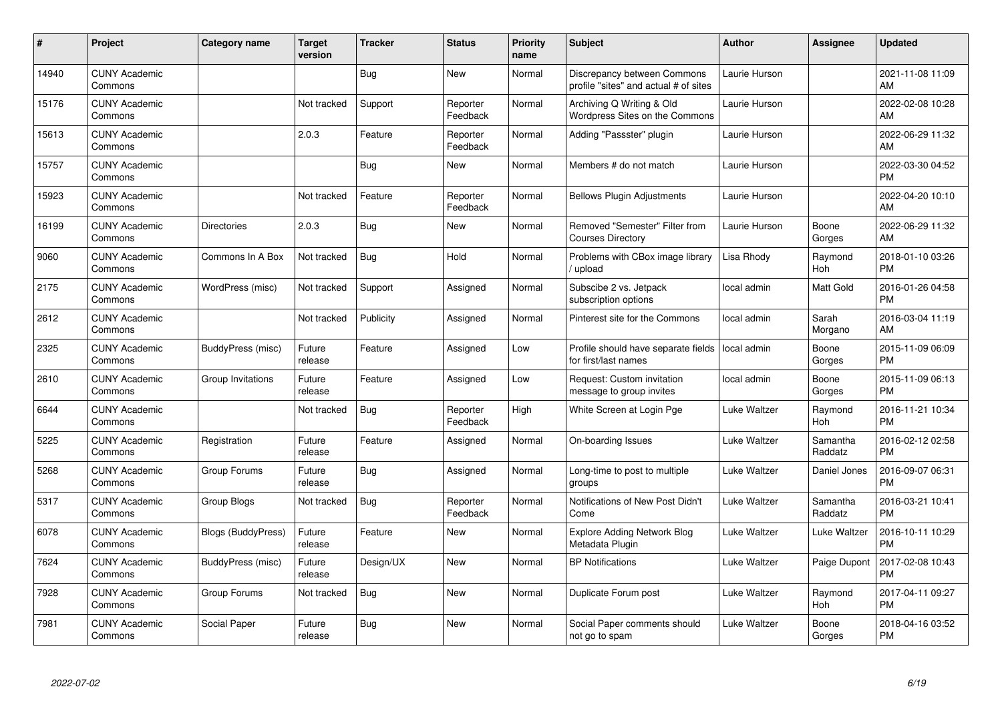| #     | Project                         | <b>Category name</b> | <b>Target</b><br>version | <b>Tracker</b> | <b>Status</b>        | <b>Priority</b><br>name | <b>Subject</b>                                                       | <b>Author</b> | <b>Assignee</b>     | <b>Updated</b>                |
|-------|---------------------------------|----------------------|--------------------------|----------------|----------------------|-------------------------|----------------------------------------------------------------------|---------------|---------------------|-------------------------------|
| 14940 | <b>CUNY Academic</b><br>Commons |                      |                          | Bug            | <b>New</b>           | Normal                  | Discrepancy between Commons<br>profile "sites" and actual # of sites | Laurie Hurson |                     | 2021-11-08 11:09<br>AM        |
| 15176 | <b>CUNY Academic</b><br>Commons |                      | Not tracked              | Support        | Reporter<br>Feedback | Normal                  | Archiving Q Writing & Old<br>Wordpress Sites on the Commons          | Laurie Hurson |                     | 2022-02-08 10:28<br>AM        |
| 15613 | <b>CUNY Academic</b><br>Commons |                      | 2.0.3                    | Feature        | Reporter<br>Feedback | Normal                  | Adding "Passster" plugin                                             | Laurie Hurson |                     | 2022-06-29 11:32<br>AM        |
| 15757 | <b>CUNY Academic</b><br>Commons |                      |                          | Bug            | <b>New</b>           | Normal                  | Members # do not match                                               | Laurie Hurson |                     | 2022-03-30 04:52<br><b>PM</b> |
| 15923 | <b>CUNY Academic</b><br>Commons |                      | Not tracked              | Feature        | Reporter<br>Feedback | Normal                  | <b>Bellows Plugin Adjustments</b>                                    | Laurie Hurson |                     | 2022-04-20 10:10<br>AM        |
| 16199 | <b>CUNY Academic</b><br>Commons | <b>Directories</b>   | 2.0.3                    | Bug            | <b>New</b>           | Normal                  | Removed "Semester" Filter from<br><b>Courses Directory</b>           | Laurie Hurson | Boone<br>Gorges     | 2022-06-29 11:32<br>AM        |
| 9060  | <b>CUNY Academic</b><br>Commons | Commons In A Box     | Not tracked              | Bug            | Hold                 | Normal                  | Problems with CBox image library<br>upload                           | Lisa Rhody    | Raymond<br>Hoh      | 2018-01-10 03:26<br><b>PM</b> |
| 2175  | <b>CUNY Academic</b><br>Commons | WordPress (misc)     | Not tracked              | Support        | Assigned             | Normal                  | Subscibe 2 vs. Jetpack<br>subscription options                       | local admin   | Matt Gold           | 2016-01-26 04:58<br><b>PM</b> |
| 2612  | <b>CUNY Academic</b><br>Commons |                      | Not tracked              | Publicity      | Assigned             | Normal                  | Pinterest site for the Commons                                       | local admin   | Sarah<br>Morgano    | 2016-03-04 11:19<br>AM        |
| 2325  | <b>CUNY Academic</b><br>Commons | BuddyPress (misc)    | Future<br>release        | Feature        | Assigned             | Low                     | Profile should have separate fields<br>for first/last names          | local admin   | Boone<br>Gorges     | 2015-11-09 06:09<br><b>PM</b> |
| 2610  | <b>CUNY Academic</b><br>Commons | Group Invitations    | Future<br>release        | Feature        | Assigned             | Low                     | Request: Custom invitation<br>message to group invites               | local admin   | Boone<br>Gorges     | 2015-11-09 06:13<br><b>PM</b> |
| 6644  | <b>CUNY Academic</b><br>Commons |                      | Not tracked              | <b>Bug</b>     | Reporter<br>Feedback | High                    | White Screen at Login Pge                                            | Luke Waltzer  | Raymond<br>Hoh      | 2016-11-21 10:34<br><b>PM</b> |
| 5225  | <b>CUNY Academic</b><br>Commons | Registration         | Future<br>release        | Feature        | Assigned             | Normal                  | On-boarding Issues                                                   | Luke Waltzer  | Samantha<br>Raddatz | 2016-02-12 02:58<br><b>PM</b> |
| 5268  | <b>CUNY Academic</b><br>Commons | Group Forums         | Future<br>release        | Bug            | Assigned             | Normal                  | Long-time to post to multiple<br>groups                              | Luke Waltzer  | Daniel Jones        | 2016-09-07 06:31<br><b>PM</b> |
| 5317  | <b>CUNY Academic</b><br>Commons | Group Blogs          | Not tracked              | <b>Bug</b>     | Reporter<br>Feedback | Normal                  | Notifications of New Post Didn't<br>Come                             | Luke Waltzer  | Samantha<br>Raddatz | 2016-03-21 10:41<br><b>PM</b> |
| 6078  | <b>CUNY Academic</b><br>Commons | Blogs (BuddyPress)   | Future<br>release        | Feature        | New                  | Normal                  | <b>Explore Adding Network Blog</b><br>Metadata Plugin                | Luke Waltzer  | Luke Waltzer        | 2016-10-11 10:29<br><b>PM</b> |
| 7624  | <b>CUNY Academic</b><br>Commons | BuddyPress (misc)    | Future<br>release        | Design/UX      | New                  | Normal                  | <b>BP</b> Notifications                                              | Luke Waltzer  | Paige Dupont        | 2017-02-08 10:43<br><b>PM</b> |
| 7928  | <b>CUNY Academic</b><br>Commons | Group Forums         | Not tracked              | Bug            | <b>New</b>           | Normal                  | Duplicate Forum post                                                 | Luke Waltzer  | Raymond<br>Hoh      | 2017-04-11 09:27<br><b>PM</b> |
| 7981  | <b>CUNY Academic</b><br>Commons | Social Paper         | Future<br>release        | Bug            | <b>New</b>           | Normal                  | Social Paper comments should<br>not go to spam                       | Luke Waltzer  | Boone<br>Gorges     | 2018-04-16 03:52<br><b>PM</b> |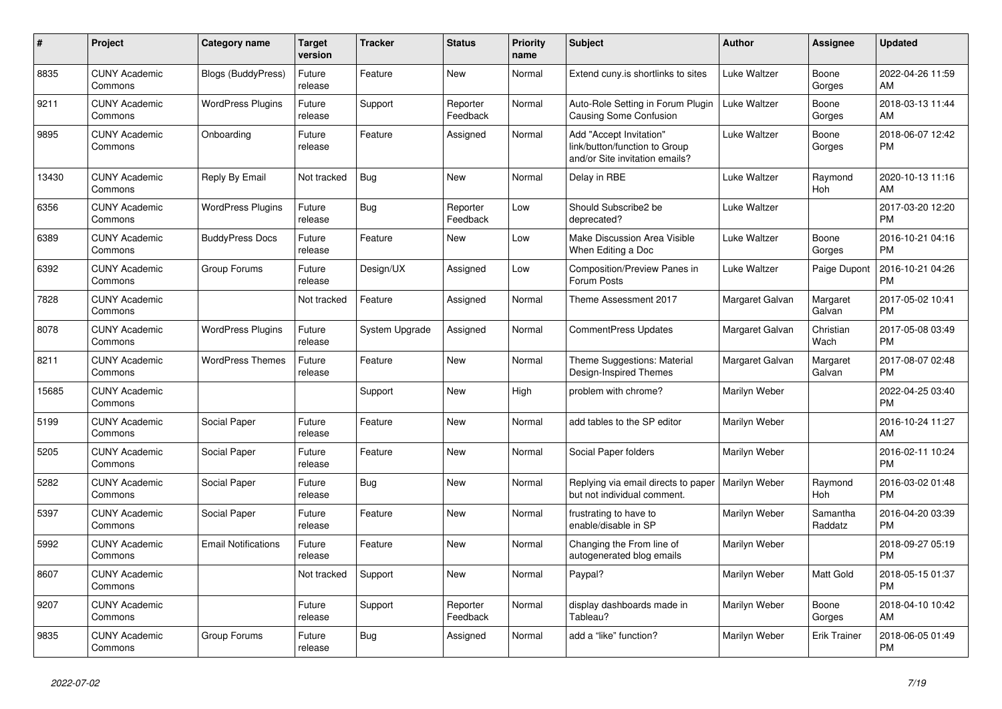| #     | <b>Project</b>                  | Category name              | Target<br>version | <b>Tracker</b> | <b>Status</b>        | <b>Priority</b><br>name | <b>Subject</b>                                                                             | <b>Author</b>   | Assignee            | <b>Updated</b>                |
|-------|---------------------------------|----------------------------|-------------------|----------------|----------------------|-------------------------|--------------------------------------------------------------------------------------------|-----------------|---------------------|-------------------------------|
| 8835  | <b>CUNY Academic</b><br>Commons | Blogs (BuddyPress)         | Future<br>release | Feature        | New                  | Normal                  | Extend cuny.is shortlinks to sites                                                         | Luke Waltzer    | Boone<br>Gorges     | 2022-04-26 11:59<br>AM        |
| 9211  | <b>CUNY Academic</b><br>Commons | <b>WordPress Plugins</b>   | Future<br>release | Support        | Reporter<br>Feedback | Normal                  | Auto-Role Setting in Forum Plugin<br>Causing Some Confusion                                | Luke Waltzer    | Boone<br>Gorges     | 2018-03-13 11:44<br>AM.       |
| 9895  | <b>CUNY Academic</b><br>Commons | Onboarding                 | Future<br>release | Feature        | Assigned             | Normal                  | Add "Accept Invitation"<br>link/button/function to Group<br>and/or Site invitation emails? | Luke Waltzer    | Boone<br>Gorges     | 2018-06-07 12:42<br><b>PM</b> |
| 13430 | <b>CUNY Academic</b><br>Commons | Reply By Email             | Not tracked       | <b>Bug</b>     | New                  | Normal                  | Delay in RBE                                                                               | Luke Waltzer    | Raymond<br>Hoh      | 2020-10-13 11:16<br>AM        |
| 6356  | <b>CUNY Academic</b><br>Commons | <b>WordPress Plugins</b>   | Future<br>release | Bug            | Reporter<br>Feedback | Low                     | Should Subscribe2 be<br>deprecated?                                                        | Luke Waltzer    |                     | 2017-03-20 12:20<br><b>PM</b> |
| 6389  | <b>CUNY Academic</b><br>Commons | <b>BuddyPress Docs</b>     | Future<br>release | Feature        | <b>New</b>           | Low                     | Make Discussion Area Visible<br>When Editing a Doc                                         | Luke Waltzer    | Boone<br>Gorges     | 2016-10-21 04:16<br><b>PM</b> |
| 6392  | <b>CUNY Academic</b><br>Commons | Group Forums               | Future<br>release | Design/UX      | Assigned             | Low                     | Composition/Preview Panes in<br>Forum Posts                                                | Luke Waltzer    | Paige Dupont        | 2016-10-21 04:26<br><b>PM</b> |
| 7828  | <b>CUNY Academic</b><br>Commons |                            | Not tracked       | Feature        | Assigned             | Normal                  | Theme Assessment 2017                                                                      | Margaret Galvan | Margaret<br>Galvan  | 2017-05-02 10:41<br><b>PM</b> |
| 8078  | <b>CUNY Academic</b><br>Commons | <b>WordPress Plugins</b>   | Future<br>release | System Upgrade | Assigned             | Normal                  | <b>CommentPress Updates</b>                                                                | Margaret Galvan | Christian<br>Wach   | 2017-05-08 03:49<br><b>PM</b> |
| 8211  | <b>CUNY Academic</b><br>Commons | <b>WordPress Themes</b>    | Future<br>release | Feature        | New                  | Normal                  | Theme Suggestions: Material<br>Design-Inspired Themes                                      | Margaret Galvan | Margaret<br>Galvan  | 2017-08-07 02:48<br><b>PM</b> |
| 15685 | <b>CUNY Academic</b><br>Commons |                            |                   | Support        | New                  | High                    | problem with chrome?                                                                       | Marilyn Weber   |                     | 2022-04-25 03:40<br><b>PM</b> |
| 5199  | <b>CUNY Academic</b><br>Commons | Social Paper               | Future<br>release | Feature        | <b>New</b>           | Normal                  | add tables to the SP editor                                                                | Marilyn Weber   |                     | 2016-10-24 11:27<br>AM        |
| 5205  | <b>CUNY Academic</b><br>Commons | Social Paper               | Future<br>release | Feature        | <b>New</b>           | Normal                  | Social Paper folders                                                                       | Marilyn Weber   |                     | 2016-02-11 10:24<br><b>PM</b> |
| 5282  | <b>CUNY Academic</b><br>Commons | Social Paper               | Future<br>release | Bug            | New                  | Normal                  | Replying via email directs to paper<br>but not individual comment.                         | Marilyn Weber   | Raymond<br>Hoh      | 2016-03-02 01:48<br><b>PM</b> |
| 5397  | <b>CUNY Academic</b><br>Commons | Social Paper               | Future<br>release | Feature        | <b>New</b>           | Normal                  | frustrating to have to<br>enable/disable in SP                                             | Marilyn Weber   | Samantha<br>Raddatz | 2016-04-20 03:39<br><b>PM</b> |
| 5992  | <b>CUNY Academic</b><br>Commons | <b>Email Notifications</b> | Future<br>release | Feature        | New                  | Normal                  | Changing the From line of<br>autogenerated blog emails                                     | Marilyn Weber   |                     | 2018-09-27 05:19<br><b>PM</b> |
| 8607  | <b>CUNY Academic</b><br>Commons |                            | Not tracked       | Support        | <b>New</b>           | Normal                  | Paypal?                                                                                    | Marilyn Weber   | Matt Gold           | 2018-05-15 01:37<br><b>PM</b> |
| 9207  | <b>CUNY Academic</b><br>Commons |                            | Future<br>release | Support        | Reporter<br>Feedback | Normal                  | display dashboards made in<br>Tableau?                                                     | Marilyn Weber   | Boone<br>Gorges     | 2018-04-10 10:42<br>AM.       |
| 9835  | <b>CUNY Academic</b><br>Commons | Group Forums               | Future<br>release | Bug            | Assigned             | Normal                  | add a "like" function?                                                                     | Marilyn Weber   | <b>Erik Trainer</b> | 2018-06-05 01:49<br>PM        |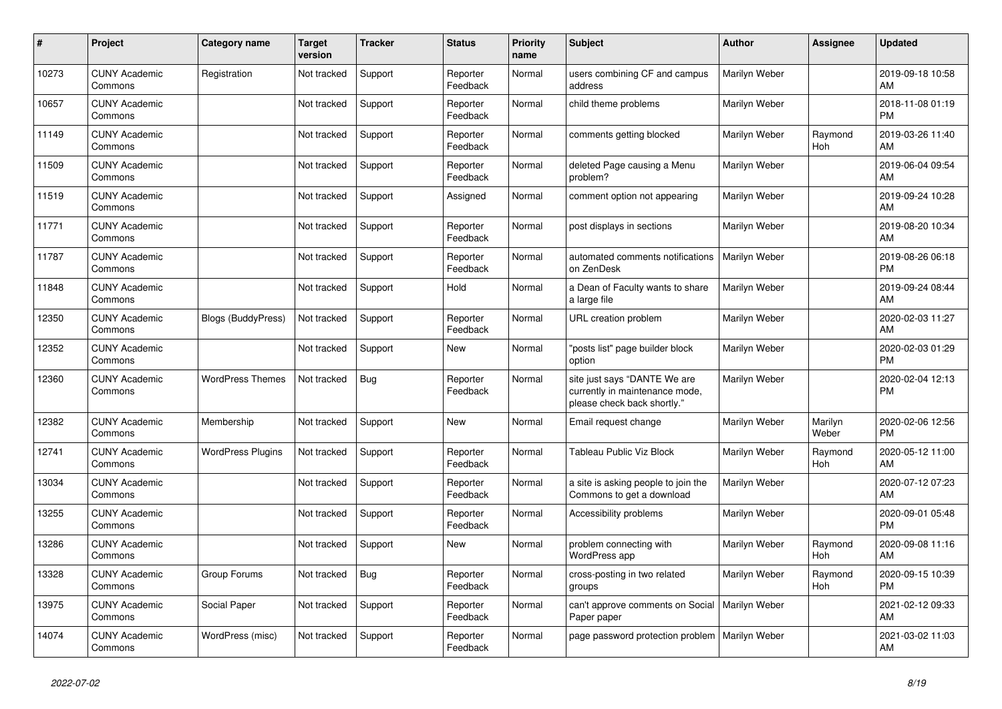| #     | <b>Project</b>                  | <b>Category name</b>      | <b>Target</b><br>version | <b>Tracker</b> | <b>Status</b>        | <b>Priority</b><br>name | <b>Subject</b>                                                                                | <b>Author</b> | Assignee         | <b>Updated</b>                |
|-------|---------------------------------|---------------------------|--------------------------|----------------|----------------------|-------------------------|-----------------------------------------------------------------------------------------------|---------------|------------------|-------------------------------|
| 10273 | <b>CUNY Academic</b><br>Commons | Registration              | Not tracked              | Support        | Reporter<br>Feedback | Normal                  | users combining CF and campus<br>address                                                      | Marilyn Weber |                  | 2019-09-18 10:58<br>AM        |
| 10657 | <b>CUNY Academic</b><br>Commons |                           | Not tracked              | Support        | Reporter<br>Feedback | Normal                  | child theme problems                                                                          | Marilyn Weber |                  | 2018-11-08 01:19<br><b>PM</b> |
| 11149 | <b>CUNY Academic</b><br>Commons |                           | Not tracked              | Support        | Reporter<br>Feedback | Normal                  | comments getting blocked                                                                      | Marilyn Weber | Raymond<br>Hoh   | 2019-03-26 11:40<br>AM        |
| 11509 | <b>CUNY Academic</b><br>Commons |                           | Not tracked              | Support        | Reporter<br>Feedback | Normal                  | deleted Page causing a Menu<br>problem?                                                       | Marilyn Weber |                  | 2019-06-04 09:54<br><b>AM</b> |
| 11519 | <b>CUNY Academic</b><br>Commons |                           | Not tracked              | Support        | Assigned             | Normal                  | comment option not appearing                                                                  | Marilyn Weber |                  | 2019-09-24 10:28<br>AM        |
| 11771 | <b>CUNY Academic</b><br>Commons |                           | Not tracked              | Support        | Reporter<br>Feedback | Normal                  | post displays in sections                                                                     | Marilyn Weber |                  | 2019-08-20 10:34<br>AM        |
| 11787 | <b>CUNY Academic</b><br>Commons |                           | Not tracked              | Support        | Reporter<br>Feedback | Normal                  | automated comments notifications<br>on ZenDesk                                                | Marilyn Weber |                  | 2019-08-26 06:18<br><b>PM</b> |
| 11848 | <b>CUNY Academic</b><br>Commons |                           | Not tracked              | Support        | Hold                 | Normal                  | a Dean of Faculty wants to share<br>a large file                                              | Marilyn Weber |                  | 2019-09-24 08:44<br>AM        |
| 12350 | <b>CUNY Academic</b><br>Commons | <b>Blogs (BuddyPress)</b> | Not tracked              | Support        | Reporter<br>Feedback | Normal                  | URL creation problem                                                                          | Marilyn Weber |                  | 2020-02-03 11:27<br>AM        |
| 12352 | <b>CUNY Academic</b><br>Commons |                           | Not tracked              | Support        | New                  | Normal                  | "posts list" page builder block<br>option                                                     | Marilyn Weber |                  | 2020-02-03 01:29<br><b>PM</b> |
| 12360 | <b>CUNY Academic</b><br>Commons | <b>WordPress Themes</b>   | Not tracked              | Bug            | Reporter<br>Feedback | Normal                  | site just says "DANTE We are<br>currently in maintenance mode,<br>please check back shortly." | Marilyn Weber |                  | 2020-02-04 12:13<br><b>PM</b> |
| 12382 | <b>CUNY Academic</b><br>Commons | Membership                | Not tracked              | Support        | New                  | Normal                  | Email request change                                                                          | Marilyn Weber | Marilyn<br>Weber | 2020-02-06 12:56<br><b>PM</b> |
| 12741 | <b>CUNY Academic</b><br>Commons | <b>WordPress Plugins</b>  | Not tracked              | Support        | Reporter<br>Feedback | Normal                  | Tableau Public Viz Block                                                                      | Marilyn Weber | Raymond<br>Hoh   | 2020-05-12 11:00<br>AM        |
| 13034 | <b>CUNY Academic</b><br>Commons |                           | Not tracked              | Support        | Reporter<br>Feedback | Normal                  | a site is asking people to join the<br>Commons to get a download                              | Marilyn Weber |                  | 2020-07-12 07:23<br>AM        |
| 13255 | <b>CUNY Academic</b><br>Commons |                           | Not tracked              | Support        | Reporter<br>Feedback | Normal                  | Accessibility problems                                                                        | Marilyn Weber |                  | 2020-09-01 05:48<br><b>PM</b> |
| 13286 | <b>CUNY Academic</b><br>Commons |                           | Not tracked              | Support        | <b>New</b>           | Normal                  | problem connecting with<br><b>WordPress app</b>                                               | Marilyn Weber | Raymond<br>Hoh   | 2020-09-08 11:16<br>AM        |
| 13328 | <b>CUNY Academic</b><br>Commons | Group Forums              | Not tracked              | Bug            | Reporter<br>Feedback | Normal                  | cross-posting in two related<br>groups                                                        | Marilyn Weber | Raymond<br>Hoh   | 2020-09-15 10:39<br><b>PM</b> |
| 13975 | <b>CUNY Academic</b><br>Commons | Social Paper              | Not tracked              | Support        | Reporter<br>Feedback | Normal                  | can't approve comments on Social<br>Paper paper                                               | Marilyn Weber |                  | 2021-02-12 09:33<br>AM        |
| 14074 | <b>CUNY Academic</b><br>Commons | WordPress (misc)          | Not tracked              | Support        | Reporter<br>Feedback | Normal                  | page password protection problem                                                              | Marilyn Weber |                  | 2021-03-02 11:03<br>AM        |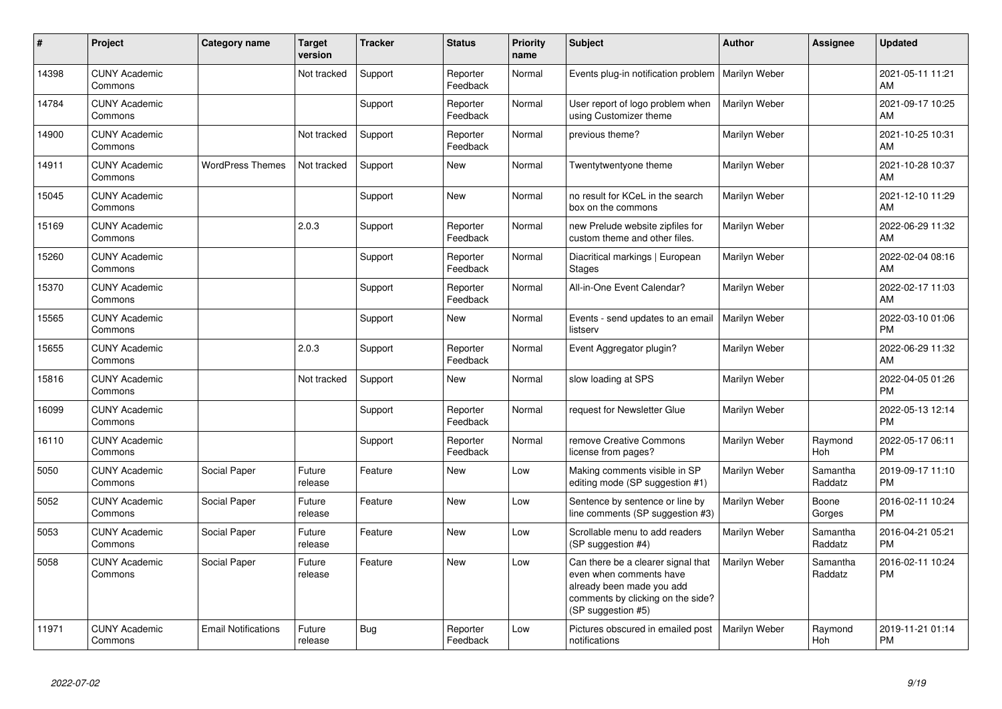| #     | Project                         | <b>Category name</b>       | <b>Target</b><br>version | <b>Tracker</b> | <b>Status</b>        | <b>Priority</b><br>name | <b>Subject</b>                                                                                                                                        | <b>Author</b> | Assignee            | <b>Updated</b>                |
|-------|---------------------------------|----------------------------|--------------------------|----------------|----------------------|-------------------------|-------------------------------------------------------------------------------------------------------------------------------------------------------|---------------|---------------------|-------------------------------|
| 14398 | <b>CUNY Academic</b><br>Commons |                            | Not tracked              | Support        | Reporter<br>Feedback | Normal                  | Events plug-in notification problem                                                                                                                   | Marilyn Weber |                     | 2021-05-11 11:21<br>AM        |
| 14784 | <b>CUNY Academic</b><br>Commons |                            |                          | Support        | Reporter<br>Feedback | Normal                  | User report of logo problem when<br>using Customizer theme                                                                                            | Marilyn Weber |                     | 2021-09-17 10:25<br>AM        |
| 14900 | <b>CUNY Academic</b><br>Commons |                            | Not tracked              | Support        | Reporter<br>Feedback | Normal                  | previous theme?                                                                                                                                       | Marilyn Weber |                     | 2021-10-25 10:31<br>AM        |
| 14911 | <b>CUNY Academic</b><br>Commons | <b>WordPress Themes</b>    | Not tracked              | Support        | New                  | Normal                  | Twentytwentyone theme                                                                                                                                 | Marilyn Weber |                     | 2021-10-28 10:37<br>AM        |
| 15045 | <b>CUNY Academic</b><br>Commons |                            |                          | Support        | <b>New</b>           | Normal                  | no result for KCeL in the search<br>box on the commons                                                                                                | Marilyn Weber |                     | 2021-12-10 11:29<br>AM        |
| 15169 | <b>CUNY Academic</b><br>Commons |                            | 2.0.3                    | Support        | Reporter<br>Feedback | Normal                  | new Prelude website zipfiles for<br>custom theme and other files.                                                                                     | Marilyn Weber |                     | 2022-06-29 11:32<br>AM        |
| 15260 | <b>CUNY Academic</b><br>Commons |                            |                          | Support        | Reporter<br>Feedback | Normal                  | Diacritical markings   European<br><b>Stages</b>                                                                                                      | Marilyn Weber |                     | 2022-02-04 08:16<br>AM        |
| 15370 | <b>CUNY Academic</b><br>Commons |                            |                          | Support        | Reporter<br>Feedback | Normal                  | All-in-One Event Calendar?                                                                                                                            | Marilyn Weber |                     | 2022-02-17 11:03<br>AM        |
| 15565 | <b>CUNY Academic</b><br>Commons |                            |                          | Support        | <b>New</b>           | Normal                  | Events - send updates to an email<br>listserv                                                                                                         | Marilyn Weber |                     | 2022-03-10 01:06<br><b>PM</b> |
| 15655 | <b>CUNY Academic</b><br>Commons |                            | 2.0.3                    | Support        | Reporter<br>Feedback | Normal                  | Event Aggregator plugin?                                                                                                                              | Marilyn Weber |                     | 2022-06-29 11:32<br>AM        |
| 15816 | <b>CUNY Academic</b><br>Commons |                            | Not tracked              | Support        | New                  | Normal                  | slow loading at SPS                                                                                                                                   | Marilyn Weber |                     | 2022-04-05 01:26<br><b>PM</b> |
| 16099 | <b>CUNY Academic</b><br>Commons |                            |                          | Support        | Reporter<br>Feedback | Normal                  | request for Newsletter Glue                                                                                                                           | Marilyn Weber |                     | 2022-05-13 12:14<br><b>PM</b> |
| 16110 | <b>CUNY Academic</b><br>Commons |                            |                          | Support        | Reporter<br>Feedback | Normal                  | remove Creative Commons<br>license from pages?                                                                                                        | Marilyn Weber | Raymond<br>Hoh      | 2022-05-17 06:11<br><b>PM</b> |
| 5050  | <b>CUNY Academic</b><br>Commons | Social Paper               | Future<br>release        | Feature        | New                  | Low                     | Making comments visible in SP<br>editing mode (SP suggestion #1)                                                                                      | Marilyn Weber | Samantha<br>Raddatz | 2019-09-17 11:10<br><b>PM</b> |
| 5052  | <b>CUNY Academic</b><br>Commons | Social Paper               | Future<br>release        | Feature        | <b>New</b>           | Low                     | Sentence by sentence or line by<br>line comments (SP suggestion #3)                                                                                   | Marilyn Weber | Boone<br>Gorges     | 2016-02-11 10:24<br><b>PM</b> |
| 5053  | <b>CUNY Academic</b><br>Commons | Social Paper               | Future<br>release        | Feature        | <b>New</b>           | Low                     | Scrollable menu to add readers<br>(SP suggestion #4)                                                                                                  | Marilyn Weber | Samantha<br>Raddatz | 2016-04-21 05:21<br><b>PM</b> |
| 5058  | <b>CUNY Academic</b><br>Commons | Social Paper               | Future<br>release        | Feature        | <b>New</b>           | Low                     | Can there be a clearer signal that<br>even when comments have<br>already been made you add<br>comments by clicking on the side?<br>(SP suggestion #5) | Marilyn Weber | Samantha<br>Raddatz | 2016-02-11 10:24<br><b>PM</b> |
| 11971 | <b>CUNY Academic</b><br>Commons | <b>Email Notifications</b> | Future<br>release        | Bug            | Reporter<br>Feedback | Low                     | Pictures obscured in emailed post<br>notifications                                                                                                    | Marilyn Weber | Raymond<br>Hoh      | 2019-11-21 01:14<br><b>PM</b> |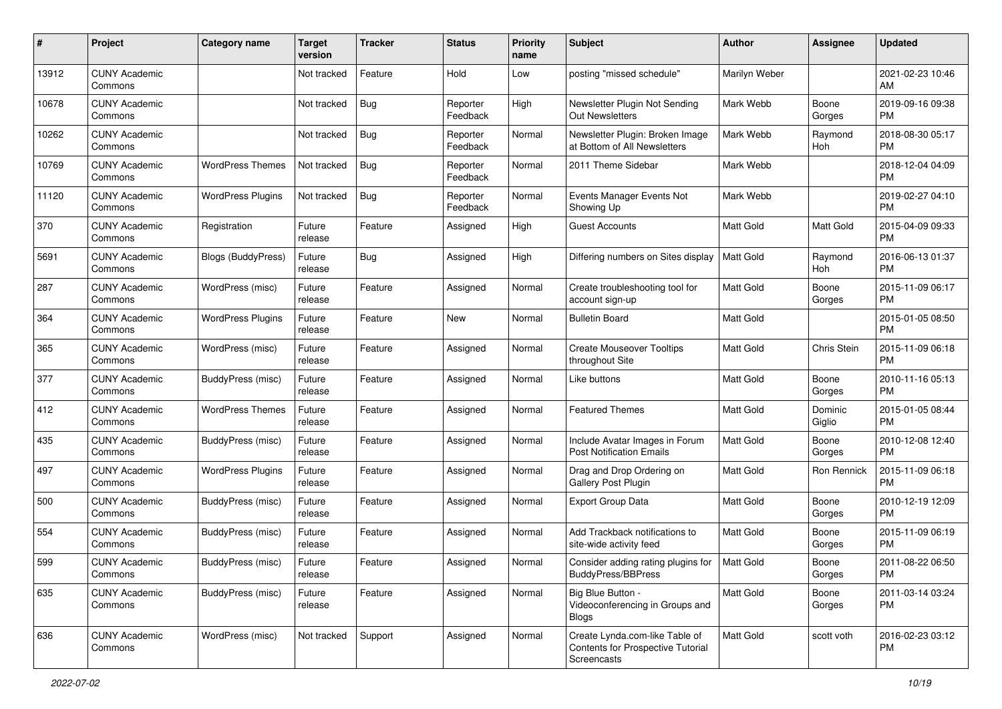| #     | Project                         | <b>Category name</b>     | <b>Target</b><br>version | <b>Tracker</b> | <b>Status</b>        | Priority<br>name | <b>Subject</b>                                                                            | Author           | <b>Assignee</b>   | <b>Updated</b>                |
|-------|---------------------------------|--------------------------|--------------------------|----------------|----------------------|------------------|-------------------------------------------------------------------------------------------|------------------|-------------------|-------------------------------|
| 13912 | <b>CUNY Academic</b><br>Commons |                          | Not tracked              | Feature        | Hold                 | Low              | posting "missed schedule"                                                                 | Marilyn Weber    |                   | 2021-02-23 10:46<br>AM        |
| 10678 | <b>CUNY Academic</b><br>Commons |                          | Not tracked              | <b>Bug</b>     | Reporter<br>Feedback | High             | Newsletter Plugin Not Sending<br>Out Newsletters                                          | Mark Webb        | Boone<br>Gorges   | 2019-09-16 09:38<br><b>PM</b> |
| 10262 | <b>CUNY Academic</b><br>Commons |                          | Not tracked              | <b>Bug</b>     | Reporter<br>Feedback | Normal           | Newsletter Plugin: Broken Image<br>at Bottom of All Newsletters                           | Mark Webb        | Raymond<br>Hoh    | 2018-08-30 05:17<br><b>PM</b> |
| 10769 | <b>CUNY Academic</b><br>Commons | <b>WordPress Themes</b>  | Not tracked              | Bug            | Reporter<br>Feedback | Normal           | 2011 Theme Sidebar                                                                        | Mark Webb        |                   | 2018-12-04 04:09<br><b>PM</b> |
| 11120 | <b>CUNY Academic</b><br>Commons | <b>WordPress Plugins</b> | Not tracked              | Bug            | Reporter<br>Feedback | Normal           | Events Manager Events Not<br>Showing Up                                                   | Mark Webb        |                   | 2019-02-27 04:10<br><b>PM</b> |
| 370   | <b>CUNY Academic</b><br>Commons | Registration             | Future<br>release        | Feature        | Assigned             | High             | <b>Guest Accounts</b>                                                                     | <b>Matt Gold</b> | Matt Gold         | 2015-04-09 09:33<br><b>PM</b> |
| 5691  | <b>CUNY Academic</b><br>Commons | Blogs (BuddyPress)       | Future<br>release        | Bug            | Assigned             | High             | Differing numbers on Sites display                                                        | <b>Matt Gold</b> | Raymond<br>Hoh    | 2016-06-13 01:37<br><b>PM</b> |
| 287   | <b>CUNY Academic</b><br>Commons | WordPress (misc)         | Future<br>release        | Feature        | Assigned             | Normal           | Create troubleshooting tool for<br>account sign-up                                        | <b>Matt Gold</b> | Boone<br>Gorges   | 2015-11-09 06:17<br><b>PM</b> |
| 364   | <b>CUNY Academic</b><br>Commons | <b>WordPress Plugins</b> | Future<br>release        | Feature        | New                  | Normal           | <b>Bulletin Board</b>                                                                     | <b>Matt Gold</b> |                   | 2015-01-05 08:50<br><b>PM</b> |
| 365   | <b>CUNY Academic</b><br>Commons | WordPress (misc)         | Future<br>release        | Feature        | Assigned             | Normal           | <b>Create Mouseover Tooltips</b><br>throughout Site                                       | Matt Gold        | Chris Stein       | 2015-11-09 06:18<br><b>PM</b> |
| 377   | <b>CUNY Academic</b><br>Commons | BuddyPress (misc)        | Future<br>release        | Feature        | Assigned             | Normal           | Like buttons                                                                              | <b>Matt Gold</b> | Boone<br>Gorges   | 2010-11-16 05:13<br><b>PM</b> |
| 412   | <b>CUNY Academic</b><br>Commons | <b>WordPress Themes</b>  | Future<br>release        | Feature        | Assigned             | Normal           | <b>Featured Themes</b>                                                                    | <b>Matt Gold</b> | Dominic<br>Giglio | 2015-01-05 08:44<br><b>PM</b> |
| 435   | <b>CUNY Academic</b><br>Commons | BuddyPress (misc)        | Future<br>release        | Feature        | Assigned             | Normal           | Include Avatar Images in Forum<br><b>Post Notification Emails</b>                         | Matt Gold        | Boone<br>Gorges   | 2010-12-08 12:40<br><b>PM</b> |
| 497   | <b>CUNY Academic</b><br>Commons | <b>WordPress Plugins</b> | Future<br>release        | Feature        | Assigned             | Normal           | Drag and Drop Ordering on<br>Gallery Post Plugin                                          | Matt Gold        | Ron Rennick       | 2015-11-09 06:18<br><b>PM</b> |
| 500   | <b>CUNY Academic</b><br>Commons | BuddyPress (misc)        | Future<br>release        | Feature        | Assigned             | Normal           | Export Group Data                                                                         | <b>Matt Gold</b> | Boone<br>Gorges   | 2010-12-19 12:09<br><b>PM</b> |
| 554   | <b>CUNY Academic</b><br>Commons | BuddyPress (misc)        | Future<br>release        | Feature        | Assigned             | Normal           | Add Trackback notifications to<br>site-wide activity feed                                 | <b>Matt Gold</b> | Boone<br>Gorges   | 2015-11-09 06:19<br><b>PM</b> |
| 599   | <b>CUNY Academic</b><br>Commons | BuddyPress (misc)        | Future<br>release        | Feature        | Assigned             | Normal           | Consider adding rating plugins for<br><b>BuddyPress/BBPress</b>                           | Matt Gold        | Boone<br>Gorges   | 2011-08-22 06:50<br><b>PM</b> |
| 635   | <b>CUNY Academic</b><br>Commons | BuddyPress (misc)        | Future<br>release        | Feature        | Assigned             | Normal           | Big Blue Button -<br>Videoconferencing in Groups and<br><b>Blogs</b>                      | <b>Matt Gold</b> | Boone<br>Gorges   | 2011-03-14 03:24<br><b>PM</b> |
| 636   | <b>CUNY Academic</b><br>Commons | WordPress (misc)         | Not tracked              | Support        | Assigned             | Normal           | Create Lynda.com-like Table of<br><b>Contents for Prospective Tutorial</b><br>Screencasts | Matt Gold        | scott voth        | 2016-02-23 03:12<br>PM        |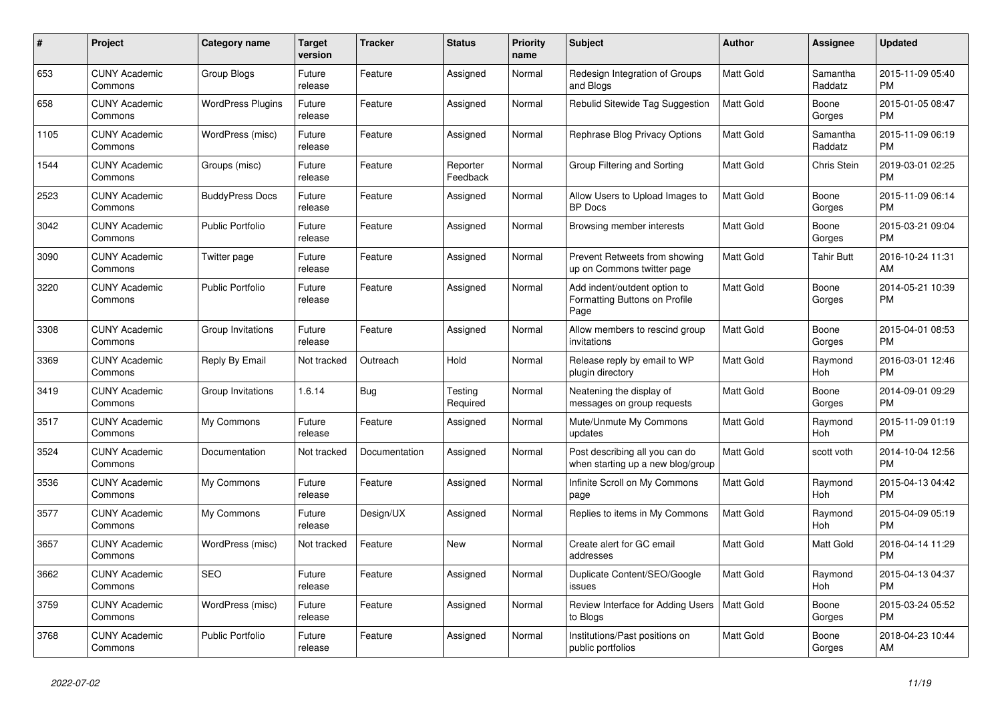| $\#$ | Project                         | <b>Category name</b>     | <b>Target</b><br>version | <b>Tracker</b> | <b>Status</b>        | Priority<br>name | <b>Subject</b>                                                        | <b>Author</b>    | <b>Assignee</b>     | <b>Updated</b>                |
|------|---------------------------------|--------------------------|--------------------------|----------------|----------------------|------------------|-----------------------------------------------------------------------|------------------|---------------------|-------------------------------|
| 653  | <b>CUNY Academic</b><br>Commons | Group Blogs              | Future<br>release        | Feature        | Assigned             | Normal           | Redesign Integration of Groups<br>and Blogs                           | Matt Gold        | Samantha<br>Raddatz | 2015-11-09 05:40<br><b>PM</b> |
| 658  | <b>CUNY Academic</b><br>Commons | <b>WordPress Plugins</b> | Future<br>release        | Feature        | Assigned             | Normal           | Rebulid Sitewide Tag Suggestion                                       | <b>Matt Gold</b> | Boone<br>Gorges     | 2015-01-05 08:47<br><b>PM</b> |
| 1105 | <b>CUNY Academic</b><br>Commons | WordPress (misc)         | Future<br>release        | Feature        | Assigned             | Normal           | Rephrase Blog Privacy Options                                         | Matt Gold        | Samantha<br>Raddatz | 2015-11-09 06:19<br><b>PM</b> |
| 1544 | <b>CUNY Academic</b><br>Commons | Groups (misc)            | Future<br>release        | Feature        | Reporter<br>Feedback | Normal           | Group Filtering and Sorting                                           | Matt Gold        | <b>Chris Stein</b>  | 2019-03-01 02:25<br><b>PM</b> |
| 2523 | <b>CUNY Academic</b><br>Commons | <b>BuddyPress Docs</b>   | Future<br>release        | Feature        | Assigned             | Normal           | Allow Users to Upload Images to<br><b>BP</b> Docs                     | Matt Gold        | Boone<br>Gorges     | 2015-11-09 06:14<br><b>PM</b> |
| 3042 | <b>CUNY Academic</b><br>Commons | <b>Public Portfolio</b>  | Future<br>release        | Feature        | Assigned             | Normal           | Browsing member interests                                             | Matt Gold        | Boone<br>Gorges     | 2015-03-21 09:04<br><b>PM</b> |
| 3090 | <b>CUNY Academic</b><br>Commons | Twitter page             | Future<br>release        | Feature        | Assigned             | Normal           | Prevent Retweets from showing<br>up on Commons twitter page           | <b>Matt Gold</b> | Tahir Butt          | 2016-10-24 11:31<br>AM        |
| 3220 | <b>CUNY Academic</b><br>Commons | <b>Public Portfolio</b>  | Future<br>release        | Feature        | Assigned             | Normal           | Add indent/outdent option to<br>Formatting Buttons on Profile<br>Page | Matt Gold        | Boone<br>Gorges     | 2014-05-21 10:39<br><b>PM</b> |
| 3308 | <b>CUNY Academic</b><br>Commons | Group Invitations        | Future<br>release        | Feature        | Assigned             | Normal           | Allow members to rescind group<br>invitations                         | <b>Matt Gold</b> | Boone<br>Gorges     | 2015-04-01 08:53<br><b>PM</b> |
| 3369 | <b>CUNY Academic</b><br>Commons | Reply By Email           | Not tracked              | Outreach       | Hold                 | Normal           | Release reply by email to WP<br>plugin directory                      | Matt Gold        | Raymond<br>Hoh      | 2016-03-01 12:46<br><b>PM</b> |
| 3419 | <b>CUNY Academic</b><br>Commons | Group Invitations        | 1.6.14                   | Bug            | Testing<br>Required  | Normal           | Neatening the display of<br>messages on group requests                | Matt Gold        | Boone<br>Gorges     | 2014-09-01 09:29<br><b>PM</b> |
| 3517 | <b>CUNY Academic</b><br>Commons | My Commons               | Future<br>release        | Feature        | Assigned             | Normal           | Mute/Unmute My Commons<br>updates                                     | <b>Matt Gold</b> | Raymond<br>Hoh      | 2015-11-09 01:19<br><b>PM</b> |
| 3524 | <b>CUNY Academic</b><br>Commons | Documentation            | Not tracked              | Documentation  | Assigned             | Normal           | Post describing all you can do<br>when starting up a new blog/group   | <b>Matt Gold</b> | scott voth          | 2014-10-04 12:56<br><b>PM</b> |
| 3536 | <b>CUNY Academic</b><br>Commons | My Commons               | Future<br>release        | Feature        | Assigned             | Normal           | Infinite Scroll on My Commons<br>page                                 | Matt Gold        | Raymond<br>Hoh      | 2015-04-13 04:42<br><b>PM</b> |
| 3577 | <b>CUNY Academic</b><br>Commons | My Commons               | Future<br>release        | Design/UX      | Assigned             | Normal           | Replies to items in My Commons                                        | <b>Matt Gold</b> | Raymond<br>Hoh      | 2015-04-09 05:19<br><b>PM</b> |
| 3657 | <b>CUNY Academic</b><br>Commons | WordPress (misc)         | Not tracked              | Feature        | <b>New</b>           | Normal           | Create alert for GC email<br>addresses                                | <b>Matt Gold</b> | Matt Gold           | 2016-04-14 11:29<br><b>PM</b> |
| 3662 | <b>CUNY Academic</b><br>Commons | <b>SEO</b>               | Future<br>release        | Feature        | Assigned             | Normal           | Duplicate Content/SEO/Google<br>issues                                | Matt Gold        | Raymond<br>Hoh      | 2015-04-13 04:37<br><b>PM</b> |
| 3759 | <b>CUNY Academic</b><br>Commons | WordPress (misc)         | Future<br>release        | Feature        | Assigned             | Normal           | Review Interface for Adding Users<br>to Blogs                         | Matt Gold        | Boone<br>Gorges     | 2015-03-24 05:52<br><b>PM</b> |
| 3768 | <b>CUNY Academic</b><br>Commons | Public Portfolio         | Future<br>release        | Feature        | Assigned             | Normal           | Institutions/Past positions on<br>public portfolios                   | <b>Matt Gold</b> | Boone<br>Gorges     | 2018-04-23 10:44<br>AM        |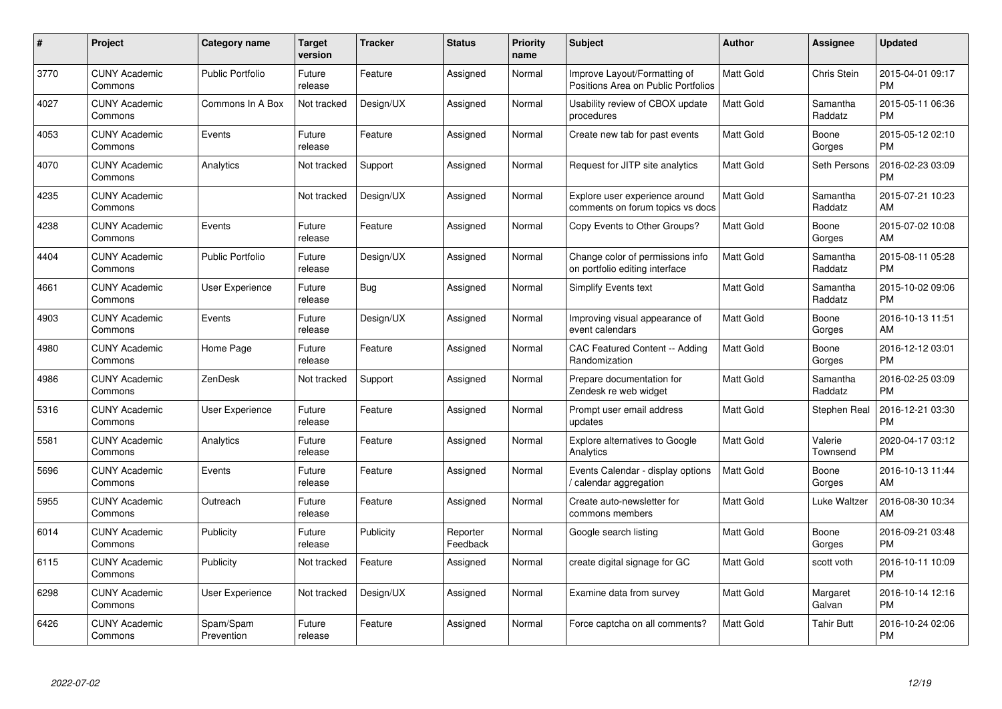| $\#$ | Project                         | <b>Category name</b>    | Target<br>version | <b>Tracker</b> | <b>Status</b>        | Priority<br>name | <b>Subject</b>                                                      | <b>Author</b>    | <b>Assignee</b>     | <b>Updated</b>                |
|------|---------------------------------|-------------------------|-------------------|----------------|----------------------|------------------|---------------------------------------------------------------------|------------------|---------------------|-------------------------------|
| 3770 | <b>CUNY Academic</b><br>Commons | <b>Public Portfolio</b> | Future<br>release | Feature        | Assigned             | Normal           | Improve Layout/Formatting of<br>Positions Area on Public Portfolios | <b>Matt Gold</b> | <b>Chris Stein</b>  | 2015-04-01 09:17<br><b>PM</b> |
| 4027 | <b>CUNY Academic</b><br>Commons | Commons In A Box        | Not tracked       | Design/UX      | Assigned             | Normal           | Usability review of CBOX update<br>procedures                       | <b>Matt Gold</b> | Samantha<br>Raddatz | 2015-05-11 06:36<br><b>PM</b> |
| 4053 | <b>CUNY Academic</b><br>Commons | Events                  | Future<br>release | Feature        | Assigned             | Normal           | Create new tab for past events                                      | Matt Gold        | Boone<br>Gorges     | 2015-05-12 02:10<br><b>PM</b> |
| 4070 | <b>CUNY Academic</b><br>Commons | Analytics               | Not tracked       | Support        | Assigned             | Normal           | Request for JITP site analytics                                     | <b>Matt Gold</b> | Seth Persons        | 2016-02-23 03:09<br><b>PM</b> |
| 4235 | <b>CUNY Academic</b><br>Commons |                         | Not tracked       | Design/UX      | Assigned             | Normal           | Explore user experience around<br>comments on forum topics vs docs  | <b>Matt Gold</b> | Samantha<br>Raddatz | 2015-07-21 10:23<br>AM        |
| 4238 | <b>CUNY Academic</b><br>Commons | Events                  | Future<br>release | Feature        | Assigned             | Normal           | Copy Events to Other Groups?                                        | Matt Gold        | Boone<br>Gorges     | 2015-07-02 10:08<br>AM        |
| 4404 | <b>CUNY Academic</b><br>Commons | <b>Public Portfolio</b> | Future<br>release | Design/UX      | Assigned             | Normal           | Change color of permissions info<br>on portfolio editing interface  | Matt Gold        | Samantha<br>Raddatz | 2015-08-11 05:28<br><b>PM</b> |
| 4661 | <b>CUNY Academic</b><br>Commons | <b>User Experience</b>  | Future<br>release | Bug            | Assigned             | Normal           | Simplify Events text                                                | Matt Gold        | Samantha<br>Raddatz | 2015-10-02 09:06<br><b>PM</b> |
| 4903 | <b>CUNY Academic</b><br>Commons | Events                  | Future<br>release | Design/UX      | Assigned             | Normal           | Improving visual appearance of<br>event calendars                   | <b>Matt Gold</b> | Boone<br>Gorges     | 2016-10-13 11:51<br>AM        |
| 4980 | <b>CUNY Academic</b><br>Commons | Home Page               | Future<br>release | Feature        | Assigned             | Normal           | CAC Featured Content -- Adding<br>Randomization                     | Matt Gold        | Boone<br>Gorges     | 2016-12-12 03:01<br><b>PM</b> |
| 4986 | <b>CUNY Academic</b><br>Commons | ZenDesk                 | Not tracked       | Support        | Assigned             | Normal           | Prepare documentation for<br>Zendesk re web widget                  | Matt Gold        | Samantha<br>Raddatz | 2016-02-25 03:09<br><b>PM</b> |
| 5316 | <b>CUNY Academic</b><br>Commons | <b>User Experience</b>  | Future<br>release | Feature        | Assigned             | Normal           | Prompt user email address<br>updates                                | Matt Gold        | Stephen Real        | 2016-12-21 03:30<br><b>PM</b> |
| 5581 | <b>CUNY Academic</b><br>Commons | Analytics               | Future<br>release | Feature        | Assigned             | Normal           | <b>Explore alternatives to Google</b><br>Analytics                  | Matt Gold        | Valerie<br>Townsend | 2020-04-17 03:12<br><b>PM</b> |
| 5696 | <b>CUNY Academic</b><br>Commons | Events                  | Future<br>release | Feature        | Assigned             | Normal           | Events Calendar - display options<br>calendar aggregation /         | Matt Gold        | Boone<br>Gorges     | 2016-10-13 11:44<br>AM        |
| 5955 | <b>CUNY Academic</b><br>Commons | Outreach                | Future<br>release | Feature        | Assigned             | Normal           | Create auto-newsletter for<br>commons members                       | Matt Gold        | Luke Waltzer        | 2016-08-30 10:34<br>AM        |
| 6014 | <b>CUNY Academic</b><br>Commons | Publicity               | Future<br>release | Publicity      | Reporter<br>Feedback | Normal           | Google search listing                                               | Matt Gold        | Boone<br>Gorges     | 2016-09-21 03:48<br><b>PM</b> |
| 6115 | <b>CUNY Academic</b><br>Commons | Publicity               | Not tracked       | Feature        | Assigned             | Normal           | create digital signage for GC                                       | <b>Matt Gold</b> | scott voth          | 2016-10-11 10:09<br><b>PM</b> |
| 6298 | <b>CUNY Academic</b><br>Commons | User Experience         | Not tracked       | Design/UX      | Assigned             | Normal           | Examine data from survey                                            | Matt Gold        | Margaret<br>Galvan  | 2016-10-14 12:16<br><b>PM</b> |
| 6426 | CUNY Academic<br>Commons        | Spam/Spam<br>Prevention | Future<br>release | Feature        | Assigned             | Normal           | Force captcha on all comments?                                      | <b>Matt Gold</b> | Tahir Butt          | 2016-10-24 02:06<br>PM        |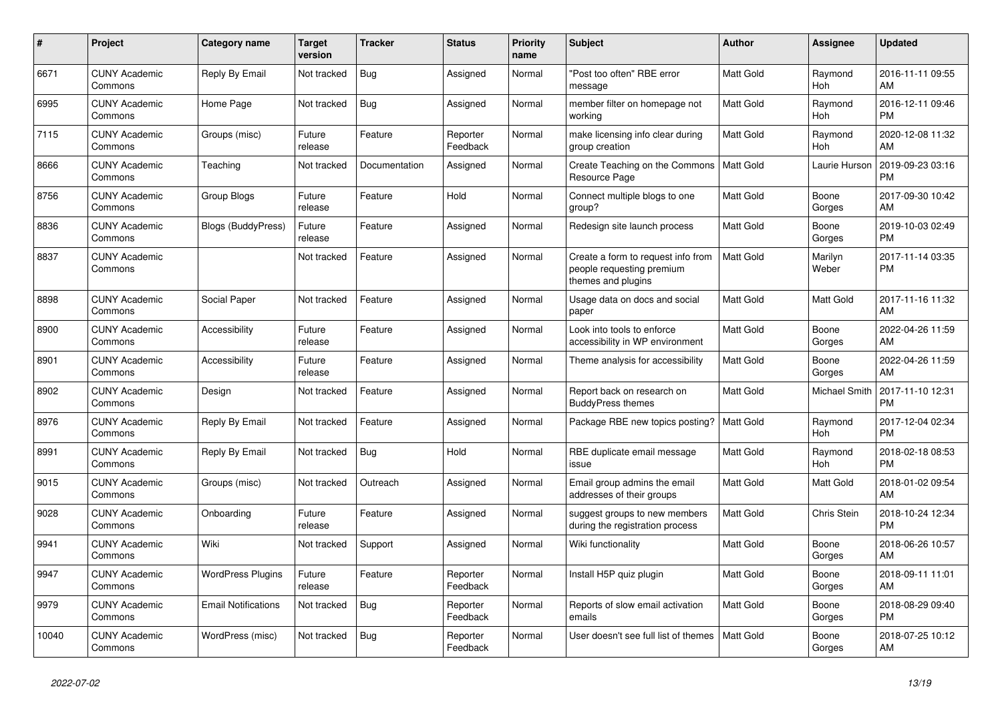| $\pmb{\#}$ | <b>Project</b>                  | Category name              | <b>Target</b><br>version | <b>Tracker</b> | <b>Status</b>        | <b>Priority</b><br>name | <b>Subject</b>                                                                        | <b>Author</b>    | Assignee         | <b>Updated</b>                |
|------------|---------------------------------|----------------------------|--------------------------|----------------|----------------------|-------------------------|---------------------------------------------------------------------------------------|------------------|------------------|-------------------------------|
| 6671       | <b>CUNY Academic</b><br>Commons | Reply By Email             | Not tracked              | <b>Bug</b>     | Assigned             | Normal                  | "Post too often" RBE error<br>message                                                 | <b>Matt Gold</b> | Raymond<br>Hoh   | 2016-11-11 09:55<br>AM        |
| 6995       | <b>CUNY Academic</b><br>Commons | Home Page                  | Not tracked              | <b>Bug</b>     | Assigned             | Normal                  | member filter on homepage not<br>working                                              | Matt Gold        | Raymond<br>Hoh   | 2016-12-11 09:46<br><b>PM</b> |
| 7115       | <b>CUNY Academic</b><br>Commons | Groups (misc)              | Future<br>release        | Feature        | Reporter<br>Feedback | Normal                  | make licensing info clear during<br>group creation                                    | <b>Matt Gold</b> | Raymond<br>Hoh   | 2020-12-08 11:32<br>AM        |
| 8666       | <b>CUNY Academic</b><br>Commons | Teaching                   | Not tracked              | Documentation  | Assigned             | Normal                  | Create Teaching on the Commons<br>Resource Page                                       | Matt Gold        | Laurie Hurson    | 2019-09-23 03:16<br><b>PM</b> |
| 8756       | <b>CUNY Academic</b><br>Commons | <b>Group Blogs</b>         | Future<br>release        | Feature        | Hold                 | Normal                  | Connect multiple blogs to one<br>group?                                               | Matt Gold        | Boone<br>Gorges  | 2017-09-30 10:42<br>AM        |
| 8836       | <b>CUNY Academic</b><br>Commons | <b>Blogs (BuddyPress)</b>  | Future<br>release        | Feature        | Assigned             | Normal                  | Redesign site launch process                                                          | Matt Gold        | Boone<br>Gorges  | 2019-10-03 02:49<br><b>PM</b> |
| 8837       | <b>CUNY Academic</b><br>Commons |                            | Not tracked              | Feature        | Assigned             | Normal                  | Create a form to request info from<br>people requesting premium<br>themes and plugins | <b>Matt Gold</b> | Marilyn<br>Weber | 2017-11-14 03:35<br><b>PM</b> |
| 8898       | <b>CUNY Academic</b><br>Commons | Social Paper               | Not tracked              | Feature        | Assigned             | Normal                  | Usage data on docs and social<br>paper                                                | Matt Gold        | Matt Gold        | 2017-11-16 11:32<br>AM        |
| 8900       | <b>CUNY Academic</b><br>Commons | Accessibility              | Future<br>release        | Feature        | Assigned             | Normal                  | Look into tools to enforce<br>accessibility in WP environment                         | <b>Matt Gold</b> | Boone<br>Gorges  | 2022-04-26 11:59<br>AM        |
| 8901       | <b>CUNY Academic</b><br>Commons | Accessibility              | Future<br>release        | Feature        | Assigned             | Normal                  | Theme analysis for accessibility                                                      | <b>Matt Gold</b> | Boone<br>Gorges  | 2022-04-26 11:59<br>AM        |
| 8902       | <b>CUNY Academic</b><br>Commons | Design                     | Not tracked              | Feature        | Assigned             | Normal                  | Report back on research on<br><b>BuddyPress themes</b>                                | Matt Gold        | Michael Smith    | 2017-11-10 12:31<br><b>PM</b> |
| 8976       | <b>CUNY Academic</b><br>Commons | Reply By Email             | Not tracked              | Feature        | Assigned             | Normal                  | Package RBE new topics posting?                                                       | <b>Matt Gold</b> | Raymond<br>Hoh   | 2017-12-04 02:34<br><b>PM</b> |
| 8991       | <b>CUNY Academic</b><br>Commons | Reply By Email             | Not tracked              | Bug            | Hold                 | Normal                  | RBE duplicate email message<br>issue                                                  | <b>Matt Gold</b> | Raymond<br>Hoh   | 2018-02-18 08:53<br><b>PM</b> |
| 9015       | <b>CUNY Academic</b><br>Commons | Groups (misc)              | Not tracked              | Outreach       | Assigned             | Normal                  | Email group admins the email<br>addresses of their groups                             | Matt Gold        | Matt Gold        | 2018-01-02 09:54<br>AM        |
| 9028       | <b>CUNY Academic</b><br>Commons | Onboarding                 | Future<br>release        | Feature        | Assigned             | Normal                  | suggest groups to new members<br>during the registration process                      | <b>Matt Gold</b> | Chris Stein      | 2018-10-24 12:34<br><b>PM</b> |
| 9941       | <b>CUNY Academic</b><br>Commons | Wiki                       | Not tracked              | Support        | Assigned             | Normal                  | Wiki functionality                                                                    | <b>Matt Gold</b> | Boone<br>Gorges  | 2018-06-26 10:57<br>AM        |
| 9947       | <b>CUNY Academic</b><br>Commons | <b>WordPress Plugins</b>   | Future<br>release        | Feature        | Reporter<br>Feedback | Normal                  | Install H5P quiz plugin                                                               | Matt Gold        | Boone<br>Gorges  | 2018-09-11 11:01<br>AM        |
| 9979       | <b>CUNY Academic</b><br>Commons | <b>Email Notifications</b> | Not tracked              | <b>Bug</b>     | Reporter<br>Feedback | Normal                  | Reports of slow email activation<br>emails                                            | <b>Matt Gold</b> | Boone<br>Gorges  | 2018-08-29 09:40<br><b>PM</b> |
| 10040      | <b>CUNY Academic</b><br>Commons | WordPress (misc)           | Not tracked              | Bug            | Reporter<br>Feedback | Normal                  | User doesn't see full list of themes                                                  | Matt Gold        | Boone<br>Gorges  | 2018-07-25 10:12<br>AM        |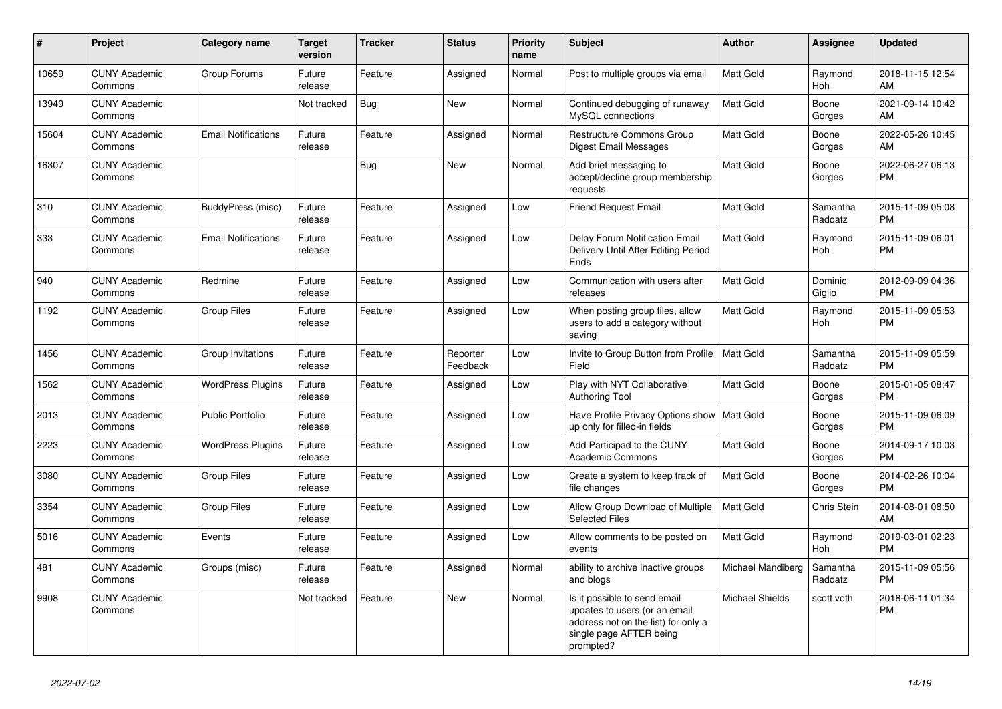| #     | <b>Project</b>                  | Category name              | <b>Target</b><br>version | <b>Tracker</b> | <b>Status</b>        | <b>Priority</b><br>name | <b>Subject</b>                                                                                                                               | <b>Author</b>     | Assignee            | <b>Updated</b>                |
|-------|---------------------------------|----------------------------|--------------------------|----------------|----------------------|-------------------------|----------------------------------------------------------------------------------------------------------------------------------------------|-------------------|---------------------|-------------------------------|
| 10659 | <b>CUNY Academic</b><br>Commons | Group Forums               | Future<br>release        | Feature        | Assigned             | Normal                  | Post to multiple groups via email                                                                                                            | <b>Matt Gold</b>  | Raymond<br>Hoh      | 2018-11-15 12:54<br>AM        |
| 13949 | <b>CUNY Academic</b><br>Commons |                            | Not tracked              | Bug            | <b>New</b>           | Normal                  | Continued debugging of runaway<br>MySQL connections                                                                                          | <b>Matt Gold</b>  | Boone<br>Gorges     | 2021-09-14 10:42<br>AM        |
| 15604 | <b>CUNY Academic</b><br>Commons | <b>Email Notifications</b> | Future<br>release        | Feature        | Assigned             | Normal                  | <b>Restructure Commons Group</b><br>Digest Email Messages                                                                                    | Matt Gold         | Boone<br>Gorges     | 2022-05-26 10:45<br><b>AM</b> |
| 16307 | <b>CUNY Academic</b><br>Commons |                            |                          | Bug            | <b>New</b>           | Normal                  | Add brief messaging to<br>accept/decline group membership<br>requests                                                                        | Matt Gold         | Boone<br>Gorges     | 2022-06-27 06:13<br><b>PM</b> |
| 310   | <b>CUNY Academic</b><br>Commons | BuddyPress (misc)          | Future<br>release        | Feature        | Assigned             | Low                     | <b>Friend Request Email</b>                                                                                                                  | <b>Matt Gold</b>  | Samantha<br>Raddatz | 2015-11-09 05:08<br><b>PM</b> |
| 333   | <b>CUNY Academic</b><br>Commons | <b>Email Notifications</b> | Future<br>release        | Feature        | Assigned             | Low                     | Delay Forum Notification Email<br>Delivery Until After Editing Period<br>Ends                                                                | <b>Matt Gold</b>  | Raymond<br>Hoh      | 2015-11-09 06:01<br><b>PM</b> |
| 940   | <b>CUNY Academic</b><br>Commons | Redmine                    | Future<br>release        | Feature        | Assigned             | Low                     | Communication with users after<br>releases                                                                                                   | Matt Gold         | Dominic<br>Giglio   | 2012-09-09 04:36<br><b>PM</b> |
| 1192  | <b>CUNY Academic</b><br>Commons | <b>Group Files</b>         | Future<br>release        | Feature        | Assigned             | Low                     | When posting group files, allow<br>users to add a category without<br>saving                                                                 | <b>Matt Gold</b>  | Raymond<br>Hoh      | 2015-11-09 05:53<br><b>PM</b> |
| 1456  | <b>CUNY Academic</b><br>Commons | Group Invitations          | Future<br>release        | Feature        | Reporter<br>Feedback | Low                     | Invite to Group Button from Profile<br>Field                                                                                                 | <b>Matt Gold</b>  | Samantha<br>Raddatz | 2015-11-09 05:59<br>PM        |
| 1562  | <b>CUNY Academic</b><br>Commons | <b>WordPress Plugins</b>   | Future<br>release        | Feature        | Assigned             | Low                     | Play with NYT Collaborative<br><b>Authoring Tool</b>                                                                                         | Matt Gold         | Boone<br>Gorges     | 2015-01-05 08:47<br><b>PM</b> |
| 2013  | <b>CUNY Academic</b><br>Commons | Public Portfolio           | Future<br>release        | Feature        | Assigned             | Low                     | Have Profile Privacy Options show   Matt Gold<br>up only for filled-in fields                                                                |                   | Boone<br>Gorges     | 2015-11-09 06:09<br><b>PM</b> |
| 2223  | <b>CUNY Academic</b><br>Commons | <b>WordPress Plugins</b>   | Future<br>release        | Feature        | Assigned             | Low                     | Add Participad to the CUNY<br><b>Academic Commons</b>                                                                                        | <b>Matt Gold</b>  | Boone<br>Gorges     | 2014-09-17 10:03<br><b>PM</b> |
| 3080  | <b>CUNY Academic</b><br>Commons | <b>Group Files</b>         | Future<br>release        | Feature        | Assigned             | Low                     | Create a system to keep track of<br>file changes                                                                                             | <b>Matt Gold</b>  | Boone<br>Gorges     | 2014-02-26 10:04<br><b>PM</b> |
| 3354  | <b>CUNY Academic</b><br>Commons | <b>Group Files</b>         | Future<br>release        | Feature        | Assigned             | Low                     | Allow Group Download of Multiple<br><b>Selected Files</b>                                                                                    | <b>Matt Gold</b>  | Chris Stein         | 2014-08-01 08:50<br>AM        |
| 5016  | <b>CUNY Academic</b><br>Commons | Events                     | Future<br>release        | Feature        | Assigned             | Low                     | Allow comments to be posted on<br>events                                                                                                     | <b>Matt Gold</b>  | Raymond<br>Hoh      | 2019-03-01 02:23<br><b>PM</b> |
| 481   | <b>CUNY Academic</b><br>Commons | Groups (misc)              | Future<br>release        | Feature        | Assigned             | Normal                  | ability to archive inactive groups<br>and blogs                                                                                              | Michael Mandiberg | Samantha<br>Raddatz | 2015-11-09 05:56<br><b>PM</b> |
| 9908  | <b>CUNY Academic</b><br>Commons |                            | Not tracked              | Feature        | <b>New</b>           | Normal                  | Is it possible to send email<br>updates to users (or an email<br>address not on the list) for only a<br>single page AFTER being<br>prompted? | Michael Shields   | scott voth          | 2018-06-11 01:34<br><b>PM</b> |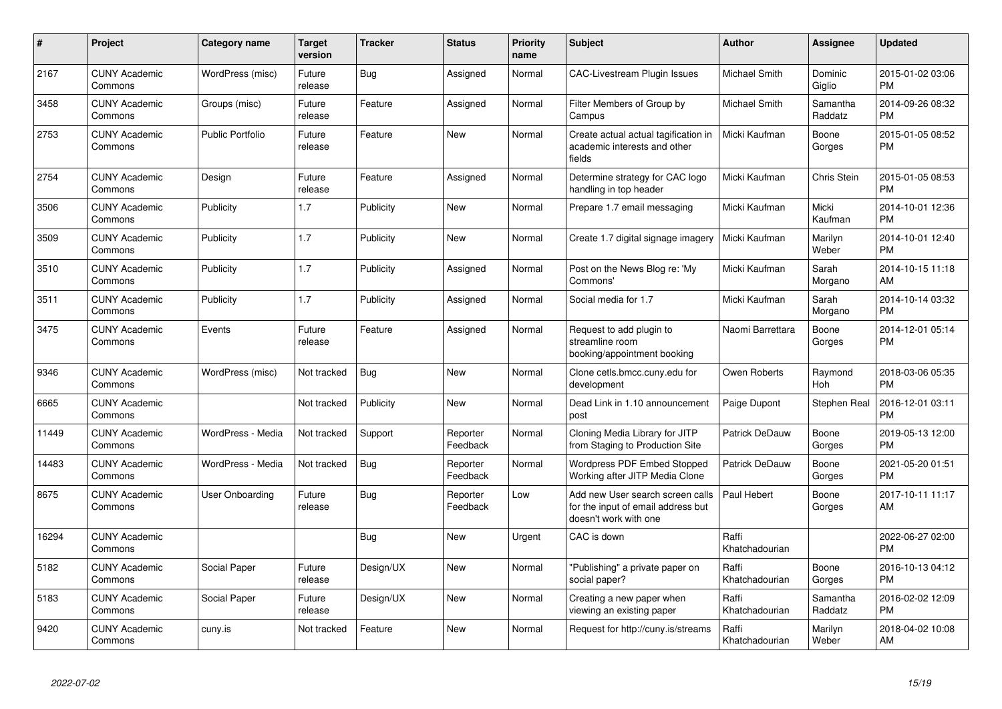| #     | <b>Project</b>                  | Category name          | <b>Target</b><br>version | <b>Tracker</b> | <b>Status</b>        | <b>Priority</b><br>name | <b>Subject</b>                                                                                  | <b>Author</b>           | Assignee            | <b>Updated</b>                |
|-------|---------------------------------|------------------------|--------------------------|----------------|----------------------|-------------------------|-------------------------------------------------------------------------------------------------|-------------------------|---------------------|-------------------------------|
| 2167  | <b>CUNY Academic</b><br>Commons | WordPress (misc)       | Future<br>release        | Bug            | Assigned             | Normal                  | <b>CAC-Livestream Plugin Issues</b>                                                             | <b>Michael Smith</b>    | Dominic<br>Giglio   | 2015-01-02 03:06<br><b>PM</b> |
| 3458  | <b>CUNY Academic</b><br>Commons | Groups (misc)          | Future<br>release        | Feature        | Assigned             | Normal                  | Filter Members of Group by<br>Campus                                                            | <b>Michael Smith</b>    | Samantha<br>Raddatz | 2014-09-26 08:32<br><b>PM</b> |
| 2753  | <b>CUNY Academic</b><br>Commons | Public Portfolio       | Future<br>release        | Feature        | <b>New</b>           | Normal                  | Create actual actual tagification in<br>academic interests and other<br>fields                  | Micki Kaufman           | Boone<br>Gorges     | 2015-01-05 08:52<br><b>PM</b> |
| 2754  | <b>CUNY Academic</b><br>Commons | Design                 | Future<br>release        | Feature        | Assigned             | Normal                  | Determine strategy for CAC logo<br>handling in top header                                       | Micki Kaufman           | Chris Stein         | 2015-01-05 08:53<br><b>PM</b> |
| 3506  | <b>CUNY Academic</b><br>Commons | Publicity              | 1.7                      | Publicity      | <b>New</b>           | Normal                  | Prepare 1.7 email messaging                                                                     | Micki Kaufman           | Micki<br>Kaufman    | 2014-10-01 12:36<br><b>PM</b> |
| 3509  | <b>CUNY Academic</b><br>Commons | Publicity              | 1.7                      | Publicity      | <b>New</b>           | Normal                  | Create 1.7 digital signage imagery                                                              | Micki Kaufman           | Marilyn<br>Weber    | 2014-10-01 12:40<br><b>PM</b> |
| 3510  | <b>CUNY Academic</b><br>Commons | Publicity              | 1.7                      | Publicity      | Assigned             | Normal                  | Post on the News Blog re: 'My<br>Commons'                                                       | Micki Kaufman           | Sarah<br>Morgano    | 2014-10-15 11:18<br>AM        |
| 3511  | <b>CUNY Academic</b><br>Commons | Publicity              | 1.7                      | Publicity      | Assigned             | Normal                  | Social media for 1.7                                                                            | Micki Kaufman           | Sarah<br>Morgano    | 2014-10-14 03:32<br><b>PM</b> |
| 3475  | <b>CUNY Academic</b><br>Commons | Events                 | Future<br>release        | Feature        | Assigned             | Normal                  | Request to add plugin to<br>streamline room<br>booking/appointment booking                      | Naomi Barrettara        | Boone<br>Gorges     | 2014-12-01 05:14<br><b>PM</b> |
| 9346  | <b>CUNY Academic</b><br>Commons | WordPress (misc)       | Not tracked              | Bug            | <b>New</b>           | Normal                  | Clone cetls.bmcc.cuny.edu for<br>development                                                    | Owen Roberts            | Raymond<br>Hoh      | 2018-03-06 05:35<br><b>PM</b> |
| 6665  | <b>CUNY Academic</b><br>Commons |                        | Not tracked              | Publicity      | <b>New</b>           | Normal                  | Dead Link in 1.10 announcement<br>post                                                          | Paige Dupont            | Stephen Real        | 2016-12-01 03:11<br><b>PM</b> |
| 11449 | <b>CUNY Academic</b><br>Commons | WordPress - Media      | Not tracked              | Support        | Reporter<br>Feedback | Normal                  | Cloning Media Library for JITP<br>from Staging to Production Site                               | <b>Patrick DeDauw</b>   | Boone<br>Gorges     | 2019-05-13 12:00<br><b>PM</b> |
| 14483 | <b>CUNY Academic</b><br>Commons | WordPress - Media      | Not tracked              | Bug            | Reporter<br>Feedback | Normal                  | Wordpress PDF Embed Stopped<br>Working after JITP Media Clone                                   | Patrick DeDauw          | Boone<br>Gorges     | 2021-05-20 01:51<br><b>PM</b> |
| 8675  | <b>CUNY Academic</b><br>Commons | <b>User Onboarding</b> | Future<br>release        | <b>Bug</b>     | Reporter<br>Feedback | Low                     | Add new User search screen calls<br>for the input of email address but<br>doesn't work with one | Paul Hebert             | Boone<br>Gorges     | 2017-10-11 11:17<br>AM        |
| 16294 | <b>CUNY Academic</b><br>Commons |                        |                          | Bug            | <b>New</b>           | Urgent                  | CAC is down                                                                                     | Raffi<br>Khatchadourian |                     | 2022-06-27 02:00<br><b>PM</b> |
| 5182  | <b>CUNY Academic</b><br>Commons | Social Paper           | Future<br>release        | Design/UX      | <b>New</b>           | Normal                  | "Publishing" a private paper on<br>social paper?                                                | Raffi<br>Khatchadourian | Boone<br>Gorges     | 2016-10-13 04:12<br><b>PM</b> |
| 5183  | <b>CUNY Academic</b><br>Commons | Social Paper           | Future<br>release        | Design/UX      | New                  | Normal                  | Creating a new paper when<br>viewing an existing paper                                          | Raffi<br>Khatchadourian | Samantha<br>Raddatz | 2016-02-02 12:09<br><b>PM</b> |
| 9420  | <b>CUNY Academic</b><br>Commons | cuny.is                | Not tracked              | Feature        | New                  | Normal                  | Request for http://cuny.is/streams                                                              | Raffi<br>Khatchadourian | Marilyn<br>Weber    | 2018-04-02 10:08<br>AM        |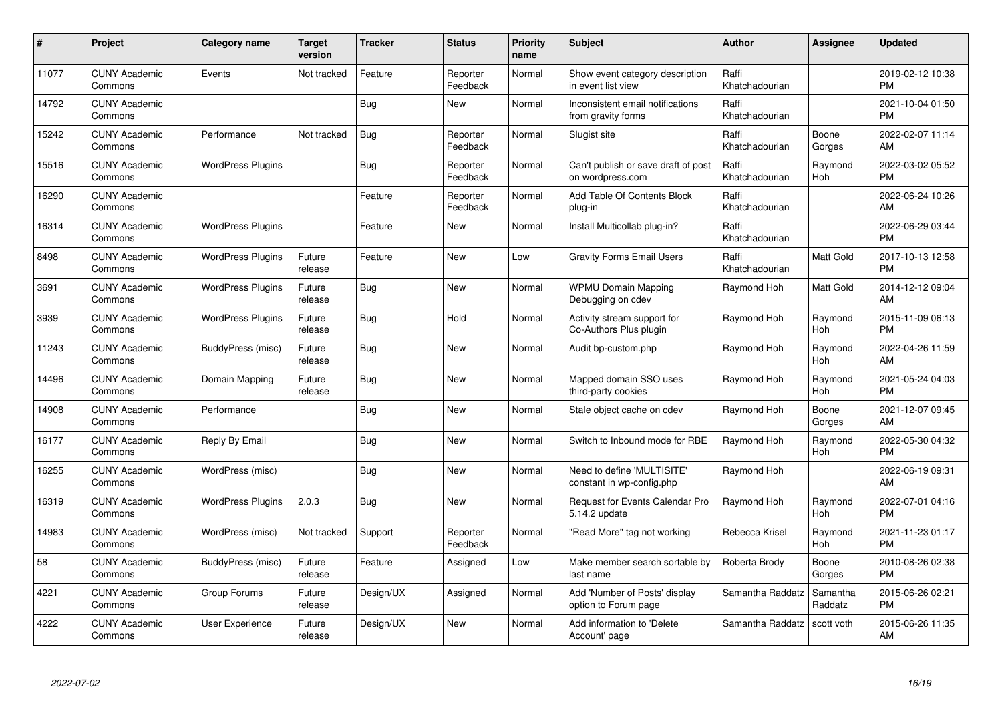| #     | Project                         | <b>Category name</b>     | <b>Target</b><br>version | <b>Tracker</b> | <b>Status</b>        | <b>Priority</b><br>name | <b>Subject</b>                                          | <b>Author</b>           | <b>Assignee</b>     | <b>Updated</b>                |
|-------|---------------------------------|--------------------------|--------------------------|----------------|----------------------|-------------------------|---------------------------------------------------------|-------------------------|---------------------|-------------------------------|
| 11077 | <b>CUNY Academic</b><br>Commons | Events                   | Not tracked              | Feature        | Reporter<br>Feedback | Normal                  | Show event category description<br>in event list view   | Raffi<br>Khatchadourian |                     | 2019-02-12 10:38<br><b>PM</b> |
| 14792 | <b>CUNY Academic</b><br>Commons |                          |                          | <b>Bug</b>     | <b>New</b>           | Normal                  | Inconsistent email notifications<br>from gravity forms  | Raffi<br>Khatchadourian |                     | 2021-10-04 01:50<br><b>PM</b> |
| 15242 | <b>CUNY Academic</b><br>Commons | Performance              | Not tracked              | Bug            | Reporter<br>Feedback | Normal                  | Slugist site                                            | Raffi<br>Khatchadourian | Boone<br>Gorges     | 2022-02-07 11:14<br>AM        |
| 15516 | <b>CUNY Academic</b><br>Commons | <b>WordPress Plugins</b> |                          | <b>Bug</b>     | Reporter<br>Feedback | Normal                  | Can't publish or save draft of post<br>on wordpress.com | Raffi<br>Khatchadourian | Raymond<br>Hoh      | 2022-03-02 05:52<br><b>PM</b> |
| 16290 | <b>CUNY Academic</b><br>Commons |                          |                          | Feature        | Reporter<br>Feedback | Normal                  | Add Table Of Contents Block<br>plug-in                  | Raffi<br>Khatchadourian |                     | 2022-06-24 10:26<br>AM        |
| 16314 | <b>CUNY Academic</b><br>Commons | <b>WordPress Plugins</b> |                          | Feature        | New                  | Normal                  | Install Multicollab plug-in?                            | Raffi<br>Khatchadourian |                     | 2022-06-29 03:44<br><b>PM</b> |
| 8498  | <b>CUNY Academic</b><br>Commons | <b>WordPress Plugins</b> | Future<br>release        | Feature        | <b>New</b>           | Low                     | <b>Gravity Forms Email Users</b>                        | Raffi<br>Khatchadourian | Matt Gold           | 2017-10-13 12:58<br><b>PM</b> |
| 3691  | <b>CUNY Academic</b><br>Commons | <b>WordPress Plugins</b> | Future<br>release        | Bug            | <b>New</b>           | Normal                  | <b>WPMU Domain Mapping</b><br>Debugging on cdev         | Raymond Hoh             | Matt Gold           | 2014-12-12 09:04<br>AM        |
| 3939  | <b>CUNY Academic</b><br>Commons | <b>WordPress Plugins</b> | Future<br>release        | Bug            | Hold                 | Normal                  | Activity stream support for<br>Co-Authors Plus plugin   | Raymond Hoh             | Raymond<br>Hoh      | 2015-11-09 06:13<br><b>PM</b> |
| 11243 | <b>CUNY Academic</b><br>Commons | BuddyPress (misc)        | Future<br>release        | Bug            | <b>New</b>           | Normal                  | Audit bp-custom.php                                     | Raymond Hoh             | Raymond<br>Hoh      | 2022-04-26 11:59<br>AM        |
| 14496 | <b>CUNY Academic</b><br>Commons | Domain Mapping           | Future<br>release        | Bug            | New                  | Normal                  | Mapped domain SSO uses<br>third-party cookies           | Raymond Hoh             | Raymond<br>Hoh      | 2021-05-24 04:03<br><b>PM</b> |
| 14908 | <b>CUNY Academic</b><br>Commons | Performance              |                          | Bug            | <b>New</b>           | Normal                  | Stale object cache on cdev                              | Raymond Hoh             | Boone<br>Gorges     | 2021-12-07 09:45<br>AM        |
| 16177 | <b>CUNY Academic</b><br>Commons | Reply By Email           |                          | Bug            | New                  | Normal                  | Switch to Inbound mode for RBE                          | Raymond Hoh             | Raymond<br>Hoh      | 2022-05-30 04:32<br><b>PM</b> |
| 16255 | <b>CUNY Academic</b><br>Commons | WordPress (misc)         |                          | <b>Bug</b>     | <b>New</b>           | Normal                  | Need to define 'MULTISITE'<br>constant in wp-config.php | Raymond Hoh             |                     | 2022-06-19 09:31<br>AM        |
| 16319 | <b>CUNY Academic</b><br>Commons | <b>WordPress Plugins</b> | 2.0.3                    | Bug            | <b>New</b>           | Normal                  | <b>Request for Events Calendar Pro</b><br>5.14.2 update | Raymond Hoh             | Raymond<br>Hoh      | 2022-07-01 04:16<br><b>PM</b> |
| 14983 | <b>CUNY Academic</b><br>Commons | WordPress (misc)         | Not tracked              | Support        | Reporter<br>Feedback | Normal                  | "Read More" tag not working                             | Rebecca Krisel          | Raymond<br>Hoh      | 2021-11-23 01:17<br><b>PM</b> |
| 58    | <b>CUNY Academic</b><br>Commons | BuddyPress (misc)        | Future<br>release        | Feature        | Assigned             | Low                     | Make member search sortable by<br>last name             | Roberta Brody           | Boone<br>Gorges     | 2010-08-26 02:38<br><b>PM</b> |
| 4221  | <b>CUNY Academic</b><br>Commons | Group Forums             | Future<br>release        | Design/UX      | Assigned             | Normal                  | Add 'Number of Posts' display<br>option to Forum page   | Samantha Raddatz        | Samantha<br>Raddatz | 2015-06-26 02:21<br><b>PM</b> |
| 4222  | <b>CUNY Academic</b><br>Commons | <b>User Experience</b>   | Future<br>release        | Design/UX      | <b>New</b>           | Normal                  | Add information to 'Delete<br>Account' page             | Samantha Raddatz        | scott voth          | 2015-06-26 11:35<br>AM        |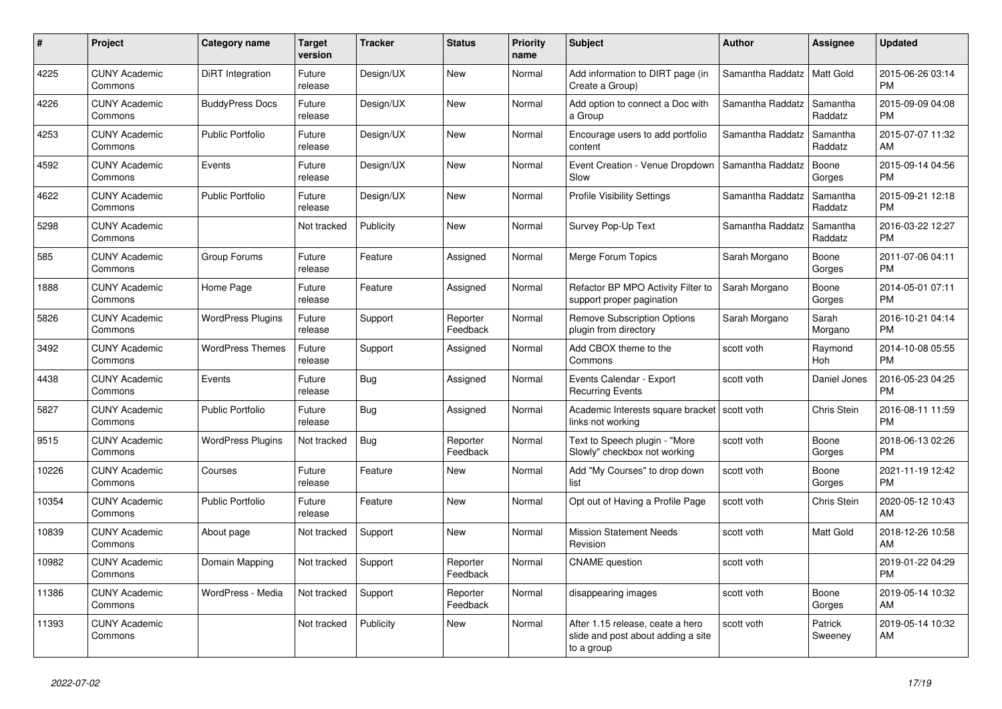| #     | <b>Project</b>                  | Category name            | Target<br>version | <b>Tracker</b> | <b>Status</b>        | <b>Priority</b><br>name | <b>Subject</b>                                                                       | <b>Author</b>    | Assignee            | <b>Updated</b>                |
|-------|---------------------------------|--------------------------|-------------------|----------------|----------------------|-------------------------|--------------------------------------------------------------------------------------|------------------|---------------------|-------------------------------|
| 4225  | <b>CUNY Academic</b><br>Commons | DiRT Integration         | Future<br>release | Design/UX      | <b>New</b>           | Normal                  | Add information to DIRT page (in<br>Create a Group)                                  | Samantha Raddatz | Matt Gold           | 2015-06-26 03:14<br><b>PM</b> |
| 4226  | <b>CUNY Academic</b><br>Commons | <b>BuddyPress Docs</b>   | Future<br>release | Design/UX      | New                  | Normal                  | Add option to connect a Doc with<br>a Group                                          | Samantha Raddatz | Samantha<br>Raddatz | 2015-09-09 04:08<br><b>PM</b> |
| 4253  | <b>CUNY Academic</b><br>Commons | <b>Public Portfolio</b>  | Future<br>release | Design/UX      | New                  | Normal                  | Encourage users to add portfolio<br>content                                          | Samantha Raddatz | Samantha<br>Raddatz | 2015-07-07 11:32<br>AM        |
| 4592  | <b>CUNY Academic</b><br>Commons | Events                   | Future<br>release | Design/UX      | <b>New</b>           | Normal                  | Event Creation - Venue Dropdown<br>Slow                                              | Samantha Raddatz | Boone<br>Gorges     | 2015-09-14 04:56<br><b>PM</b> |
| 4622  | <b>CUNY Academic</b><br>Commons | <b>Public Portfolio</b>  | Future<br>release | Design/UX      | New                  | Normal                  | <b>Profile Visibility Settings</b>                                                   | Samantha Raddatz | Samantha<br>Raddatz | 2015-09-21 12:18<br><b>PM</b> |
| 5298  | <b>CUNY Academic</b><br>Commons |                          | Not tracked       | Publicity      | New                  | Normal                  | Survey Pop-Up Text                                                                   | Samantha Raddatz | Samantha<br>Raddatz | 2016-03-22 12:27<br><b>PM</b> |
| 585   | <b>CUNY Academic</b><br>Commons | Group Forums             | Future<br>release | Feature        | Assigned             | Normal                  | Merge Forum Topics                                                                   | Sarah Morgano    | Boone<br>Gorges     | 2011-07-06 04:11<br><b>PM</b> |
| 1888  | <b>CUNY Academic</b><br>Commons | Home Page                | Future<br>release | Feature        | Assigned             | Normal                  | Refactor BP MPO Activity Filter to<br>support proper pagination                      | Sarah Morgano    | Boone<br>Gorges     | 2014-05-01 07:11<br>PM.       |
| 5826  | <b>CUNY Academic</b><br>Commons | <b>WordPress Plugins</b> | Future<br>release | Support        | Reporter<br>Feedback | Normal                  | <b>Remove Subscription Options</b><br>plugin from directory                          | Sarah Morgano    | Sarah<br>Morgano    | 2016-10-21 04:14<br><b>PM</b> |
| 3492  | <b>CUNY Academic</b><br>Commons | <b>WordPress Themes</b>  | Future<br>release | Support        | Assigned             | Normal                  | Add CBOX theme to the<br>Commons                                                     | scott voth       | Raymond<br>Hoh      | 2014-10-08 05:55<br><b>PM</b> |
| 4438  | <b>CUNY Academic</b><br>Commons | Events                   | Future<br>release | Bug            | Assigned             | Normal                  | Events Calendar - Export<br><b>Recurring Events</b>                                  | scott voth       | Daniel Jones        | 2016-05-23 04:25<br><b>PM</b> |
| 5827  | <b>CUNY Academic</b><br>Commons | <b>Public Portfolio</b>  | Future<br>release | <b>Bug</b>     | Assigned             | Normal                  | Academic Interests square bracket<br>links not working                               | scott voth       | Chris Stein         | 2016-08-11 11:59<br><b>PM</b> |
| 9515  | <b>CUNY Academic</b><br>Commons | <b>WordPress Plugins</b> | Not tracked       | Bug            | Reporter<br>Feedback | Normal                  | Text to Speech plugin - "More<br>Slowly" checkbox not working                        | scott voth       | Boone<br>Gorges     | 2018-06-13 02:26<br><b>PM</b> |
| 10226 | <b>CUNY Academic</b><br>Commons | Courses                  | Future<br>release | Feature        | <b>New</b>           | Normal                  | Add "My Courses" to drop down<br>list                                                | scott voth       | Boone<br>Gorges     | 2021-11-19 12:42<br><b>PM</b> |
| 10354 | <b>CUNY Academic</b><br>Commons | <b>Public Portfolio</b>  | Future<br>release | Feature        | <b>New</b>           | Normal                  | Opt out of Having a Profile Page                                                     | scott voth       | Chris Stein         | 2020-05-12 10:43<br>AM        |
| 10839 | <b>CUNY Academic</b><br>Commons | About page               | Not tracked       | Support        | <b>New</b>           | Normal                  | <b>Mission Statement Needs</b><br>Revision                                           | scott voth       | Matt Gold           | 2018-12-26 10:58<br><b>AM</b> |
| 10982 | <b>CUNY Academic</b><br>Commons | Domain Mapping           | Not tracked       | Support        | Reporter<br>Feedback | Normal                  | <b>CNAME</b> question                                                                | scott voth       |                     | 2019-01-22 04:29<br><b>PM</b> |
| 11386 | <b>CUNY Academic</b><br>Commons | WordPress - Media        | Not tracked       | Support        | Reporter<br>Feedback | Normal                  | disappearing images                                                                  | scott voth       | Boone<br>Gorges     | 2019-05-14 10:32<br><b>AM</b> |
| 11393 | <b>CUNY Academic</b><br>Commons |                          | Not tracked       | Publicity      | <b>New</b>           | Normal                  | After 1.15 release, ceate a hero<br>slide and post about adding a site<br>to a group | scott voth       | Patrick<br>Sweeney  | 2019-05-14 10:32<br>AM        |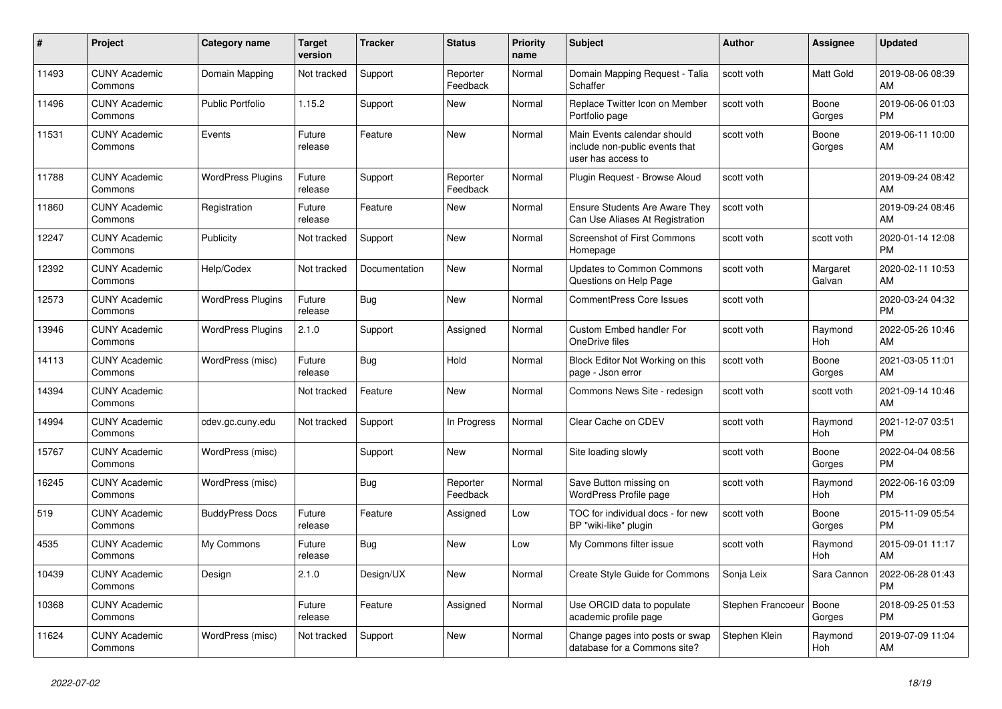| $\pmb{\#}$ | <b>Project</b>                  | Category name            | <b>Target</b><br>version | <b>Tracker</b> | <b>Status</b>        | <b>Priority</b><br>name | <b>Subject</b>                                                                      | <b>Author</b>     | Assignee           | <b>Updated</b>                |
|------------|---------------------------------|--------------------------|--------------------------|----------------|----------------------|-------------------------|-------------------------------------------------------------------------------------|-------------------|--------------------|-------------------------------|
| 11493      | <b>CUNY Academic</b><br>Commons | Domain Mapping           | Not tracked              | Support        | Reporter<br>Feedback | Normal                  | Domain Mapping Request - Talia<br>Schaffer                                          | scott voth        | Matt Gold          | 2019-08-06 08:39<br>AM        |
| 11496      | <b>CUNY Academic</b><br>Commons | <b>Public Portfolio</b>  | 1.15.2                   | Support        | <b>New</b>           | Normal                  | Replace Twitter Icon on Member<br>Portfolio page                                    | scott voth        | Boone<br>Gorges    | 2019-06-06 01:03<br><b>PM</b> |
| 11531      | <b>CUNY Academic</b><br>Commons | Events                   | Future<br>release        | Feature        | New                  | Normal                  | Main Events calendar should<br>include non-public events that<br>user has access to | scott voth        | Boone<br>Gorges    | 2019-06-11 10:00<br>AM        |
| 11788      | <b>CUNY Academic</b><br>Commons | <b>WordPress Plugins</b> | Future<br>release        | Support        | Reporter<br>Feedback | Normal                  | Plugin Request - Browse Aloud                                                       | scott voth        |                    | 2019-09-24 08:42<br>AM        |
| 11860      | <b>CUNY Academic</b><br>Commons | Registration             | Future<br>release        | Feature        | New                  | Normal                  | <b>Ensure Students Are Aware They</b><br>Can Use Aliases At Registration            | scott voth        |                    | 2019-09-24 08:46<br>AM        |
| 12247      | <b>CUNY Academic</b><br>Commons | <b>Publicity</b>         | Not tracked              | Support        | <b>New</b>           | Normal                  | <b>Screenshot of First Commons</b><br>Homepage                                      | scott voth        | scott voth         | 2020-01-14 12:08<br><b>PM</b> |
| 12392      | <b>CUNY Academic</b><br>Commons | Help/Codex               | Not tracked              | Documentation  | <b>New</b>           | Normal                  | <b>Updates to Common Commons</b><br>Questions on Help Page                          | scott voth        | Margaret<br>Galvan | 2020-02-11 10:53<br>AM        |
| 12573      | <b>CUNY Academic</b><br>Commons | <b>WordPress Plugins</b> | Future<br>release        | Bug            | New                  | Normal                  | <b>CommentPress Core Issues</b>                                                     | scott voth        |                    | 2020-03-24 04:32<br><b>PM</b> |
| 13946      | <b>CUNY Academic</b><br>Commons | <b>WordPress Plugins</b> | 2.1.0                    | Support        | Assigned             | Normal                  | Custom Embed handler For<br>OneDrive files                                          | scott voth        | Raymond<br>Hoh     | 2022-05-26 10:46<br>AM        |
| 14113      | <b>CUNY Academic</b><br>Commons | WordPress (misc)         | Future<br>release        | <b>Bug</b>     | Hold                 | Normal                  | Block Editor Not Working on this<br>page - Json error                               | scott voth        | Boone<br>Gorges    | 2021-03-05 11:01<br>AM        |
| 14394      | <b>CUNY Academic</b><br>Commons |                          | Not tracked              | Feature        | New                  | Normal                  | Commons News Site - redesign                                                        | scott voth        | scott voth         | 2021-09-14 10:46<br>AM        |
| 14994      | <b>CUNY Academic</b><br>Commons | cdev.gc.cuny.edu         | Not tracked              | Support        | In Progress          | Normal                  | Clear Cache on CDEV                                                                 | scott voth        | Raymond<br>Hoh     | 2021-12-07 03:51<br><b>PM</b> |
| 15767      | <b>CUNY Academic</b><br>Commons | WordPress (misc)         |                          | Support        | <b>New</b>           | Normal                  | Site loading slowly                                                                 | scott voth        | Boone<br>Gorges    | 2022-04-04 08:56<br><b>PM</b> |
| 16245      | <b>CUNY Academic</b><br>Commons | WordPress (misc)         |                          | Bug            | Reporter<br>Feedback | Normal                  | Save Button missing on<br><b>WordPress Profile page</b>                             | scott voth        | Raymond<br>Hoh     | 2022-06-16 03:09<br><b>PM</b> |
| 519        | <b>CUNY Academic</b><br>Commons | <b>BuddyPress Docs</b>   | Future<br>release        | Feature        | Assigned             | Low                     | TOC for individual docs - for new<br>BP "wiki-like" plugin                          | scott voth        | Boone<br>Gorges    | 2015-11-09 05:54<br><b>PM</b> |
| 4535       | <b>CUNY Academic</b><br>Commons | My Commons               | Future<br>release        | Bug            | <b>New</b>           | Low                     | My Commons filter issue                                                             | scott voth        | Raymond<br>Hoh     | 2015-09-01 11:17<br>AM        |
| 10439      | <b>CUNY Academic</b><br>Commons | Design                   | 2.1.0                    | Design/UX      | <b>New</b>           | Normal                  | Create Style Guide for Commons                                                      | Sonja Leix        | Sara Cannon        | 2022-06-28 01:43<br><b>PM</b> |
| 10368      | <b>CUNY Academic</b><br>Commons |                          | Future<br>release        | Feature        | Assigned             | Normal                  | Use ORCID data to populate<br>academic profile page                                 | Stephen Francoeur | Boone<br>Gorges    | 2018-09-25 01:53<br><b>PM</b> |
| 11624      | <b>CUNY Academic</b><br>Commons | WordPress (misc)         | Not tracked              | Support        | <b>New</b>           | Normal                  | Change pages into posts or swap<br>database for a Commons site?                     | Stephen Klein     | Raymond<br>Hoh     | 2019-07-09 11:04<br>AM        |